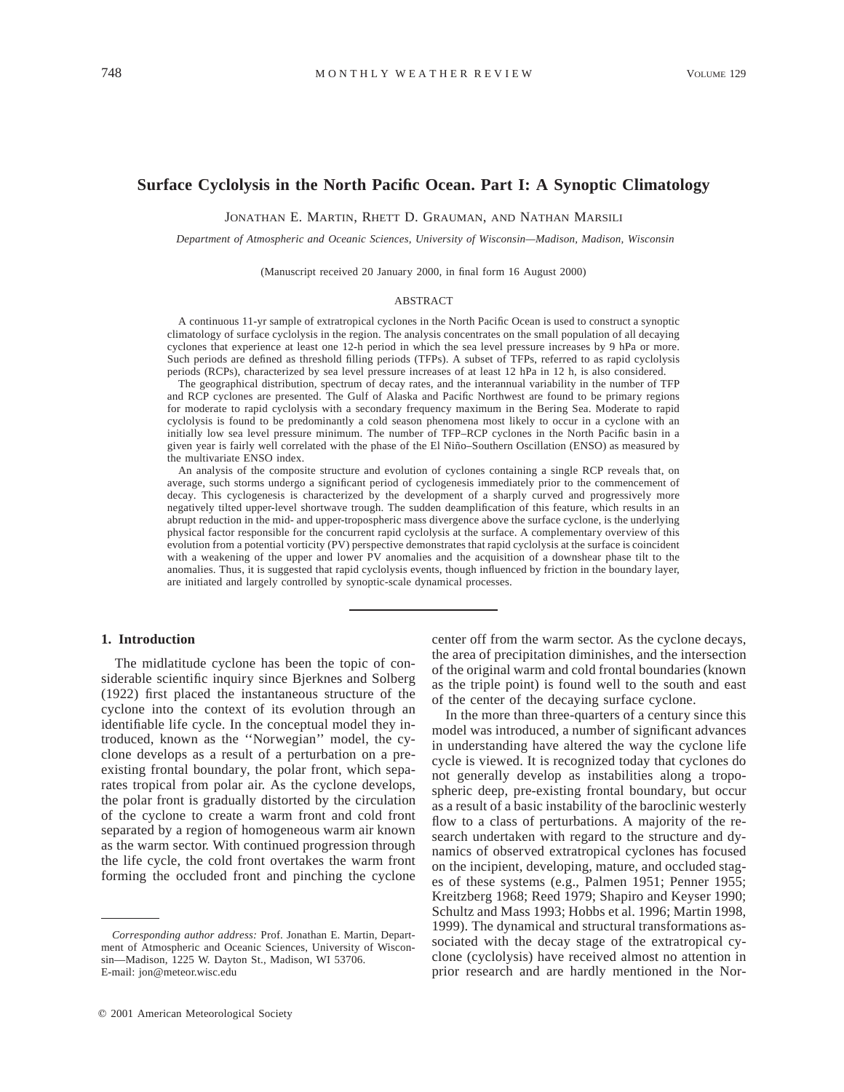# **Surface Cyclolysis in the North Pacific Ocean. Part I: A Synoptic Climatology**

JONATHAN E. MARTIN, RHETT D. GRAUMAN, AND NATHAN MARSILI

*Department of Atmospheric and Oceanic Sciences, University of Wisconsin—Madison, Madison, Wisconsin*

(Manuscript received 20 January 2000, in final form 16 August 2000)

#### ABSTRACT

A continuous 11-yr sample of extratropical cyclones in the North Pacific Ocean is used to construct a synoptic climatology of surface cyclolysis in the region. The analysis concentrates on the small population of all decaying cyclones that experience at least one 12-h period in which the sea level pressure increases by 9 hPa or more. Such periods are defined as threshold filling periods (TFPs). A subset of TFPs, referred to as rapid cyclolysis periods (RCPs), characterized by sea level pressure increases of at least 12 hPa in 12 h, is also considered.

The geographical distribution, spectrum of decay rates, and the interannual variability in the number of TFP and RCP cyclones are presented. The Gulf of Alaska and Pacific Northwest are found to be primary regions for moderate to rapid cyclolysis with a secondary frequency maximum in the Bering Sea. Moderate to rapid cyclolysis is found to be predominantly a cold season phenomena most likely to occur in a cyclone with an initially low sea level pressure minimum. The number of TFP–RCP cyclones in the North Pacific basin in a given year is fairly well correlated with the phase of the El Nin˜o–Southern Oscillation (ENSO) as measured by the multivariate ENSO index.

An analysis of the composite structure and evolution of cyclones containing a single RCP reveals that, on average, such storms undergo a significant period of cyclogenesis immediately prior to the commencement of decay. This cyclogenesis is characterized by the development of a sharply curved and progressively more negatively tilted upper-level shortwave trough. The sudden deamplification of this feature, which results in an abrupt reduction in the mid- and upper-tropospheric mass divergence above the surface cyclone, is the underlying physical factor responsible for the concurrent rapid cyclolysis at the surface. A complementary overview of this evolution from a potential vorticity (PV) perspective demonstrates that rapid cyclolysis at the surface is coincident with a weakening of the upper and lower PV anomalies and the acquisition of a downshear phase tilt to the anomalies. Thus, it is suggested that rapid cyclolysis events, though influenced by friction in the boundary layer, are initiated and largely controlled by synoptic-scale dynamical processes.

#### **1. Introduction**

The midlatitude cyclone has been the topic of considerable scientific inquiry since Bjerknes and Solberg (1922) first placed the instantaneous structure of the cyclone into the context of its evolution through an identifiable life cycle. In the conceptual model they introduced, known as the ''Norwegian'' model, the cyclone develops as a result of a perturbation on a preexisting frontal boundary, the polar front, which separates tropical from polar air. As the cyclone develops, the polar front is gradually distorted by the circulation of the cyclone to create a warm front and cold front separated by a region of homogeneous warm air known as the warm sector. With continued progression through the life cycle, the cold front overtakes the warm front forming the occluded front and pinching the cyclone center off from the warm sector. As the cyclone decays, the area of precipitation diminishes, and the intersection of the original warm and cold frontal boundaries (known as the triple point) is found well to the south and east of the center of the decaying surface cyclone.

In the more than three-quarters of a century since this model was introduced, a number of significant advances in understanding have altered the way the cyclone life cycle is viewed. It is recognized today that cyclones do not generally develop as instabilities along a tropospheric deep, pre-existing frontal boundary, but occur as a result of a basic instability of the baroclinic westerly flow to a class of perturbations. A majority of the research undertaken with regard to the structure and dynamics of observed extratropical cyclones has focused on the incipient, developing, mature, and occluded stages of these systems (e.g., Palmen 1951; Penner 1955; Kreitzberg 1968; Reed 1979; Shapiro and Keyser 1990; Schultz and Mass 1993; Hobbs et al. 1996; Martin 1998, 1999). The dynamical and structural transformations associated with the decay stage of the extratropical cyclone (cyclolysis) have received almost no attention in prior research and are hardly mentioned in the Nor-

*Corresponding author address:* Prof. Jonathan E. Martin, Department of Atmospheric and Oceanic Sciences, University of Wisconsin—Madison, 1225 W. Dayton St., Madison, WI 53706. E-mail: jon@meteor.wisc.edu

 $Q$  2001 American Meteorological Society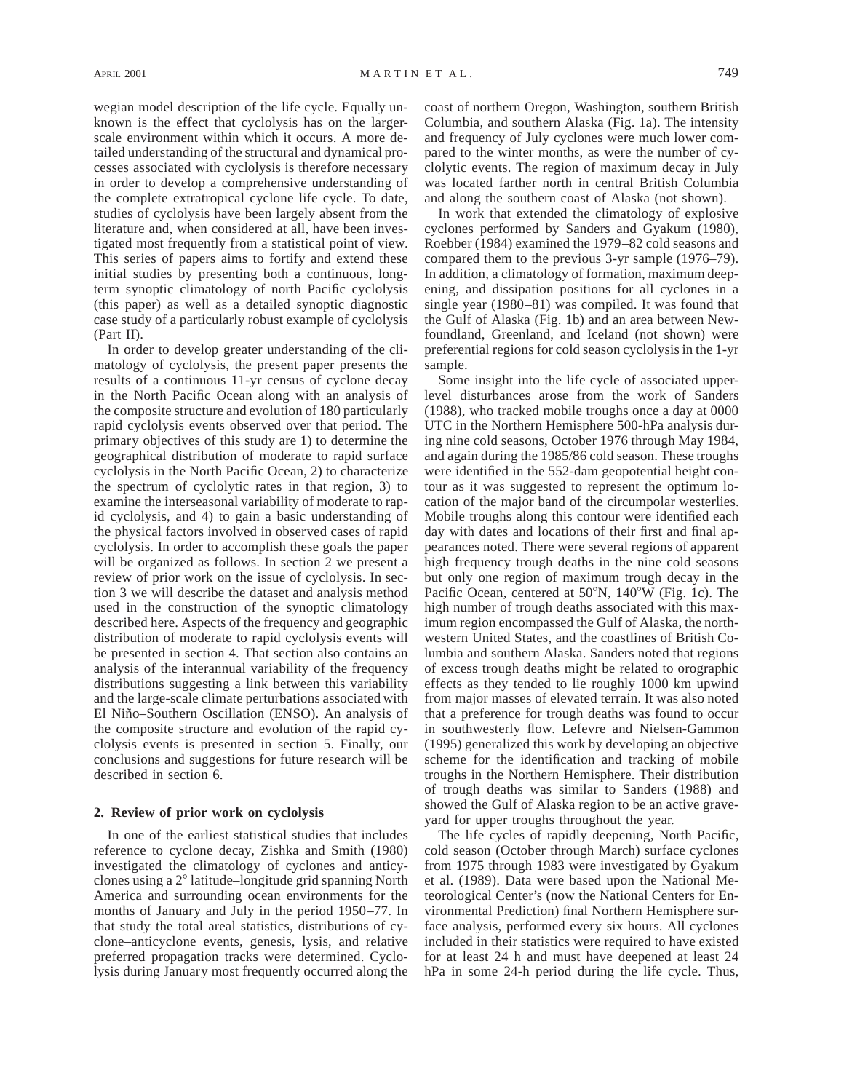wegian model description of the life cycle. Equally unknown is the effect that cyclolysis has on the largerscale environment within which it occurs. A more detailed understanding of the structural and dynamical processes associated with cyclolysis is therefore necessary in order to develop a comprehensive understanding of the complete extratropical cyclone life cycle. To date, studies of cyclolysis have been largely absent from the literature and, when considered at all, have been investigated most frequently from a statistical point of view. This series of papers aims to fortify and extend these initial studies by presenting both a continuous, longterm synoptic climatology of north Pacific cyclolysis (this paper) as well as a detailed synoptic diagnostic case study of a particularly robust example of cyclolysis (Part II).

In order to develop greater understanding of the climatology of cyclolysis, the present paper presents the results of a continuous 11-yr census of cyclone decay in the North Pacific Ocean along with an analysis of the composite structure and evolution of 180 particularly rapid cyclolysis events observed over that period. The primary objectives of this study are 1) to determine the geographical distribution of moderate to rapid surface cyclolysis in the North Pacific Ocean, 2) to characterize the spectrum of cyclolytic rates in that region, 3) to examine the interseasonal variability of moderate to rapid cyclolysis, and 4) to gain a basic understanding of the physical factors involved in observed cases of rapid cyclolysis. In order to accomplish these goals the paper will be organized as follows. In section 2 we present a review of prior work on the issue of cyclolysis. In section 3 we will describe the dataset and analysis method used in the construction of the synoptic climatology described here. Aspects of the frequency and geographic distribution of moderate to rapid cyclolysis events will be presented in section 4. That section also contains an analysis of the interannual variability of the frequency distributions suggesting a link between this variability and the large-scale climate perturbations associated with El Niño-Southern Oscillation (ENSO). An analysis of the composite structure and evolution of the rapid cyclolysis events is presented in section 5. Finally, our conclusions and suggestions for future research will be described in section 6.

## **2. Review of prior work on cyclolysis**

In one of the earliest statistical studies that includes reference to cyclone decay, Zishka and Smith (1980) investigated the climatology of cyclones and anticyclones using a 2° latitude–longitude grid spanning North America and surrounding ocean environments for the months of January and July in the period 1950–77. In that study the total areal statistics, distributions of cyclone–anticyclone events, genesis, lysis, and relative preferred propagation tracks were determined. Cyclolysis during January most frequently occurred along the coast of northern Oregon, Washington, southern British Columbia, and southern Alaska (Fig. 1a). The intensity and frequency of July cyclones were much lower compared to the winter months, as were the number of cyclolytic events. The region of maximum decay in July was located farther north in central British Columbia and along the southern coast of Alaska (not shown).

In work that extended the climatology of explosive cyclones performed by Sanders and Gyakum (1980), Roebber (1984) examined the 1979–82 cold seasons and compared them to the previous 3-yr sample (1976–79). In addition, a climatology of formation, maximum deepening, and dissipation positions for all cyclones in a single year (1980–81) was compiled. It was found that the Gulf of Alaska (Fig. 1b) and an area between Newfoundland, Greenland, and Iceland (not shown) were preferential regions for cold season cyclolysis in the 1-yr sample.

Some insight into the life cycle of associated upperlevel disturbances arose from the work of Sanders (1988), who tracked mobile troughs once a day at 0000 UTC in the Northern Hemisphere 500-hPa analysis during nine cold seasons, October 1976 through May 1984, and again during the 1985/86 cold season. These troughs were identified in the 552-dam geopotential height contour as it was suggested to represent the optimum location of the major band of the circumpolar westerlies. Mobile troughs along this contour were identified each day with dates and locations of their first and final appearances noted. There were several regions of apparent high frequency trough deaths in the nine cold seasons but only one region of maximum trough decay in the Pacific Ocean, centered at  $50^{\circ}$ N,  $140^{\circ}$ W (Fig. 1c). The high number of trough deaths associated with this maximum region encompassed the Gulf of Alaska, the northwestern United States, and the coastlines of British Columbia and southern Alaska. Sanders noted that regions of excess trough deaths might be related to orographic effects as they tended to lie roughly 1000 km upwind from major masses of elevated terrain. It was also noted that a preference for trough deaths was found to occur in southwesterly flow. Lefevre and Nielsen-Gammon (1995) generalized this work by developing an objective scheme for the identification and tracking of mobile troughs in the Northern Hemisphere. Their distribution of trough deaths was similar to Sanders (1988) and showed the Gulf of Alaska region to be an active graveyard for upper troughs throughout the year.

The life cycles of rapidly deepening, North Pacific, cold season (October through March) surface cyclones from 1975 through 1983 were investigated by Gyakum et al. (1989). Data were based upon the National Meteorological Center's (now the National Centers for Environmental Prediction) final Northern Hemisphere surface analysis, performed every six hours. All cyclones included in their statistics were required to have existed for at least 24 h and must have deepened at least 24 hPa in some 24-h period during the life cycle. Thus,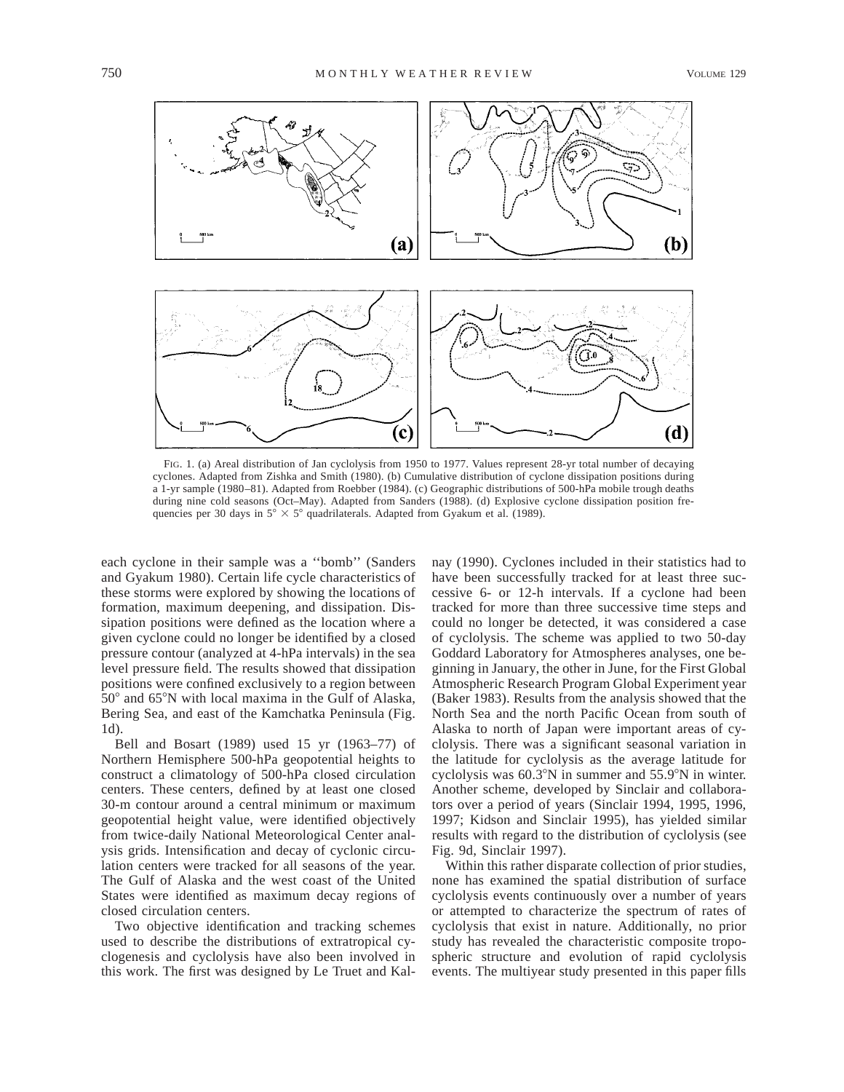

FIG. 1. (a) Areal distribution of Jan cyclolysis from 1950 to 1977. Values represent 28-yr total number of decaying cyclones. Adapted from Zishka and Smith (1980). (b) Cumulative distribution of cyclone dissipation positions during a 1-yr sample (1980–81). Adapted from Roebber (1984). (c) Geographic distributions of 500-hPa mobile trough deaths during nine cold seasons (Oct–May). Adapted from Sanders (1988). (d) Explosive cyclone dissipation position frequencies per 30 days in  $5^{\circ} \times 5^{\circ}$  quadrilaterals. Adapted from Gyakum et al. (1989).

each cyclone in their sample was a ''bomb'' (Sanders and Gyakum 1980). Certain life cycle characteristics of these storms were explored by showing the locations of formation, maximum deepening, and dissipation. Dissipation positions were defined as the location where a given cyclone could no longer be identified by a closed pressure contour (analyzed at 4-hPa intervals) in the sea level pressure field. The results showed that dissipation positions were confined exclusively to a region between  $50^{\circ}$  and  $65^{\circ}$ N with local maxima in the Gulf of Alaska, Bering Sea, and east of the Kamchatka Peninsula (Fig. 1d).

Bell and Bosart (1989) used 15 yr (1963–77) of Northern Hemisphere 500-hPa geopotential heights to construct a climatology of 500-hPa closed circulation centers. These centers, defined by at least one closed 30-m contour around a central minimum or maximum geopotential height value, were identified objectively from twice-daily National Meteorological Center analysis grids. Intensification and decay of cyclonic circulation centers were tracked for all seasons of the year. The Gulf of Alaska and the west coast of the United States were identified as maximum decay regions of closed circulation centers.

Two objective identification and tracking schemes used to describe the distributions of extratropical cyclogenesis and cyclolysis have also been involved in this work. The first was designed by Le Truet and Kalnay (1990). Cyclones included in their statistics had to have been successfully tracked for at least three successive 6- or 12-h intervals. If a cyclone had been tracked for more than three successive time steps and could no longer be detected, it was considered a case of cyclolysis. The scheme was applied to two 50-day Goddard Laboratory for Atmospheres analyses, one beginning in January, the other in June, for the First Global Atmospheric Research Program Global Experiment year (Baker 1983). Results from the analysis showed that the North Sea and the north Pacific Ocean from south of Alaska to north of Japan were important areas of cyclolysis. There was a significant seasonal variation in the latitude for cyclolysis as the average latitude for cyclolysis was  $60.3^{\circ}N$  in summer and  $55.9^{\circ}N$  in winter. Another scheme, developed by Sinclair and collaborators over a period of years (Sinclair 1994, 1995, 1996, 1997; Kidson and Sinclair 1995), has yielded similar results with regard to the distribution of cyclolysis (see Fig. 9d, Sinclair 1997).

Within this rather disparate collection of prior studies, none has examined the spatial distribution of surface cyclolysis events continuously over a number of years or attempted to characterize the spectrum of rates of cyclolysis that exist in nature. Additionally, no prior study has revealed the characteristic composite tropospheric structure and evolution of rapid cyclolysis events. The multiyear study presented in this paper fills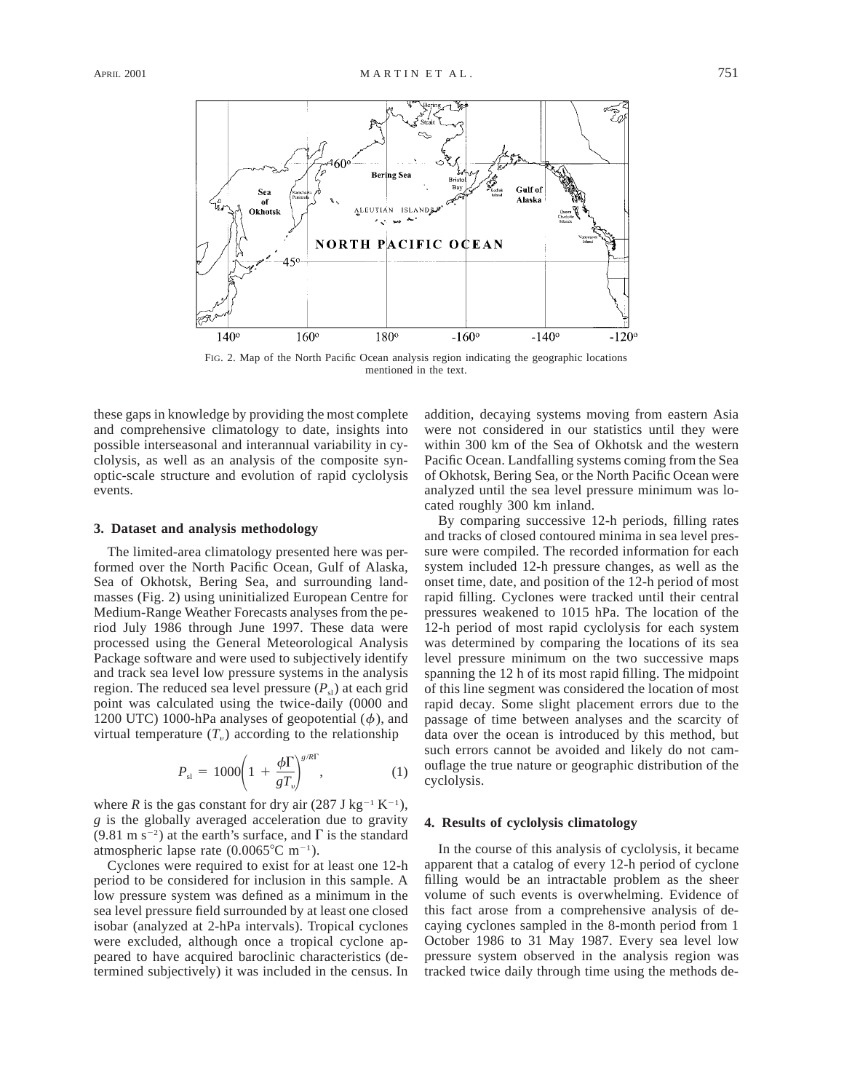

FIG. 2. Map of the North Pacific Ocean analysis region indicating the geographic locations mentioned in the text.

these gaps in knowledge by providing the most complete and comprehensive climatology to date, insights into possible interseasonal and interannual variability in cyclolysis, as well as an analysis of the composite synoptic-scale structure and evolution of rapid cyclolysis events.

### **3. Dataset and analysis methodology**

The limited-area climatology presented here was performed over the North Pacific Ocean, Gulf of Alaska, Sea of Okhotsk, Bering Sea, and surrounding landmasses (Fig. 2) using uninitialized European Centre for Medium-Range Weather Forecasts analyses from the period July 1986 through June 1997. These data were processed using the General Meteorological Analysis Package software and were used to subjectively identify and track sea level low pressure systems in the analysis region. The reduced sea level pressure  $(P_{sl})$  at each grid point was calculated using the twice-daily (0000 and 1200 UTC) 1000-hPa analyses of geopotential  $(\phi)$ , and virtual temperature  $(T<sub>v</sub>)$  according to the relationship

$$
P_{\rm sl} = 1000 \left( 1 + \frac{\phi \Gamma}{g T_{\rm v}} \right)^{g/RT}, \tag{1}
$$

where *R* is the gas constant for dry air (287 J kg<sup>-1</sup> K<sup>-1</sup>), *g* is the globally averaged acceleration due to gravity (9.81 m s<sup>-2</sup>) at the earth's surface, and  $\Gamma$  is the standard atmospheric lapse rate  $(0.0065^{\circ}C \text{ m}^{-1})$ .

Cyclones were required to exist for at least one 12-h period to be considered for inclusion in this sample. A low pressure system was defined as a minimum in the sea level pressure field surrounded by at least one closed isobar (analyzed at 2-hPa intervals). Tropical cyclones were excluded, although once a tropical cyclone appeared to have acquired baroclinic characteristics (determined subjectively) it was included in the census. In addition, decaying systems moving from eastern Asia were not considered in our statistics until they were within 300 km of the Sea of Okhotsk and the western Pacific Ocean. Landfalling systems coming from the Sea of Okhotsk, Bering Sea, or the North Pacific Ocean were analyzed until the sea level pressure minimum was located roughly 300 km inland.

By comparing successive 12-h periods, filling rates and tracks of closed contoured minima in sea level pressure were compiled. The recorded information for each system included 12-h pressure changes, as well as the onset time, date, and position of the 12-h period of most rapid filling. Cyclones were tracked until their central pressures weakened to 1015 hPa. The location of the 12-h period of most rapid cyclolysis for each system was determined by comparing the locations of its sea level pressure minimum on the two successive maps spanning the 12 h of its most rapid filling. The midpoint of this line segment was considered the location of most rapid decay. Some slight placement errors due to the passage of time between analyses and the scarcity of data over the ocean is introduced by this method, but such errors cannot be avoided and likely do not camouflage the true nature or geographic distribution of the cyclolysis.

### **4. Results of cyclolysis climatology**

In the course of this analysis of cyclolysis, it became apparent that a catalog of every 12-h period of cyclone filling would be an intractable problem as the sheer volume of such events is overwhelming. Evidence of this fact arose from a comprehensive analysis of decaying cyclones sampled in the 8-month period from 1 October 1986 to 31 May 1987. Every sea level low pressure system observed in the analysis region was tracked twice daily through time using the methods de-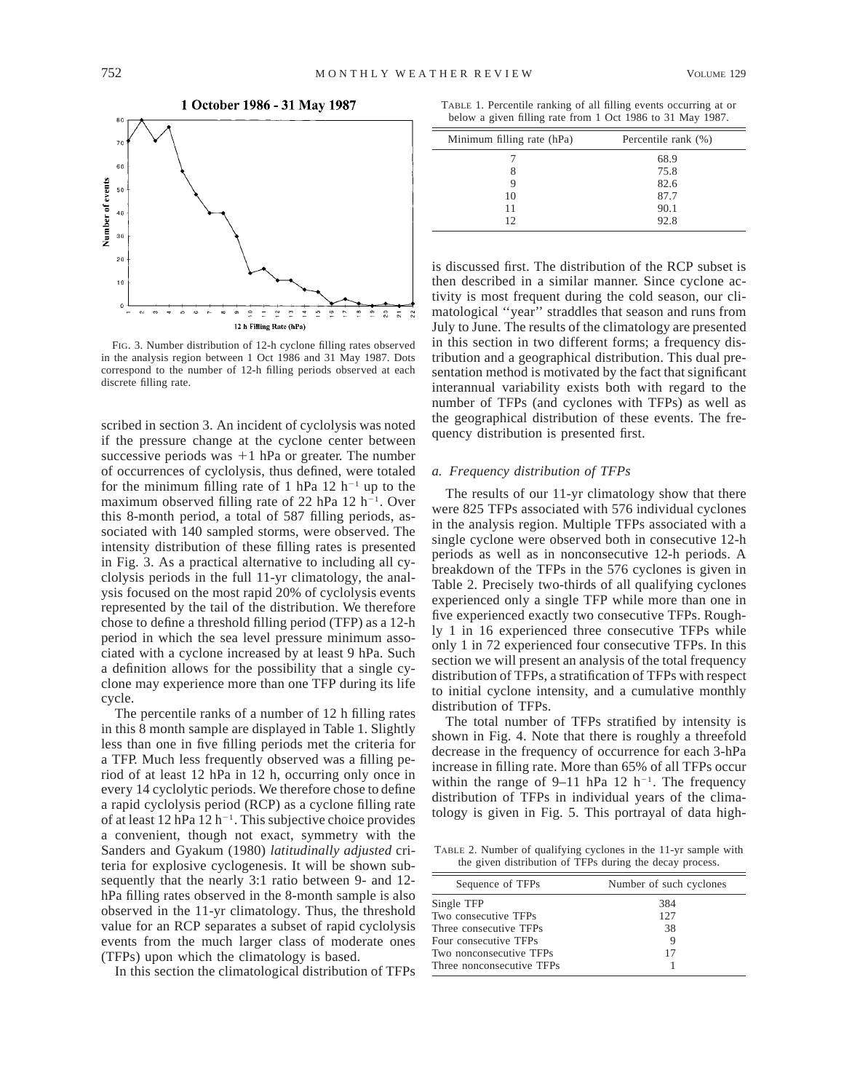

FIG. 3. Number distribution of 12-h cyclone filling rates observed in the analysis region between 1 Oct 1986 and 31 May 1987. Dots correspond to the number of 12-h filling periods observed at each discrete filling rate.

scribed in section 3. An incident of cyclolysis was noted if the pressure change at the cyclone center between successive periods was  $+1$  hPa or greater. The number of occurrences of cyclolysis, thus defined, were totaled for the minimum filling rate of 1 hPa  $12 h^{-1}$  up to the maximum observed filling rate of 22 hPa  $12 h^{-1}$ . Over this 8-month period, a total of 587 filling periods, associated with 140 sampled storms, were observed. The intensity distribution of these filling rates is presented in Fig. 3. As a practical alternative to including all cyclolysis periods in the full 11-yr climatology, the analysis focused on the most rapid 20% of cyclolysis events represented by the tail of the distribution. We therefore chose to define a threshold filling period (TFP) as a 12-h period in which the sea level pressure minimum associated with a cyclone increased by at least 9 hPa. Such a definition allows for the possibility that a single cyclone may experience more than one TFP during its life cycle.

The percentile ranks of a number of 12 h filling rates in this 8 month sample are displayed in Table 1. Slightly less than one in five filling periods met the criteria for a TFP. Much less frequently observed was a filling period of at least 12 hPa in 12 h, occurring only once in every 14 cyclolytic periods. We therefore chose to define a rapid cyclolysis period (RCP) as a cyclone filling rate of at least  $12$  hPa  $12$  h<sup>-1</sup>. This subjective choice provides a convenient, though not exact, symmetry with the Sanders and Gyakum (1980) *latitudinally adjusted* criteria for explosive cyclogenesis. It will be shown subsequently that the nearly 3:1 ratio between 9- and 12 hPa filling rates observed in the 8-month sample is also observed in the 11-yr climatology. Thus, the threshold value for an RCP separates a subset of rapid cyclolysis events from the much larger class of moderate ones (TFPs) upon which the climatology is based.

In this section the climatological distribution of TFPs

TABLE 1. Percentile ranking of all filling events occurring at or below a given filling rate from 1 Oct 1986 to 31 May 1987.

| Minimum filling rate (hPa) | Percentile rank (%) |
|----------------------------|---------------------|
|                            | 68.9                |
|                            | 75.8                |
|                            | 82.6                |
| 10                         | 87.7                |
| 11                         | 90.1                |
| 12                         | 92.8                |

is discussed first. The distribution of the RCP subset is then described in a similar manner. Since cyclone activity is most frequent during the cold season, our climatological ''year'' straddles that season and runs from July to June. The results of the climatology are presented in this section in two different forms; a frequency distribution and a geographical distribution. This dual presentation method is motivated by the fact that significant interannual variability exists both with regard to the number of TFPs (and cyclones with TFPs) as well as the geographical distribution of these events. The frequency distribution is presented first.

### *a. Frequency distribution of TFPs*

The results of our 11-yr climatology show that there were 825 TFPs associated with 576 individual cyclones in the analysis region. Multiple TFPs associated with a single cyclone were observed both in consecutive 12-h periods as well as in nonconsecutive 12-h periods. A breakdown of the TFPs in the 576 cyclones is given in Table 2. Precisely two-thirds of all qualifying cyclones experienced only a single TFP while more than one in five experienced exactly two consecutive TFPs. Roughly 1 in 16 experienced three consecutive TFPs while only 1 in 72 experienced four consecutive TFPs. In this section we will present an analysis of the total frequency distribution of TFPs, a stratification of TFPs with respect to initial cyclone intensity, and a cumulative monthly distribution of TFPs.

The total number of TFPs stratified by intensity is shown in Fig. 4. Note that there is roughly a threefold decrease in the frequency of occurrence for each 3-hPa increase in filling rate. More than 65% of all TFPs occur within the range of 9–11 hPa 12 h<sup>-1</sup>. The frequency distribution of TFPs in individual years of the climatology is given in Fig. 5. This portrayal of data high-

TABLE 2. Number of qualifying cyclones in the 11-yr sample with the given distribution of TFPs during the decay process.

| Sequence of TFPs          | Number of such cyclones |
|---------------------------|-------------------------|
| Single TFP                | 384                     |
| Two consecutive TFPs      | 127                     |
| Three consecutive TFPs    | 38                      |
| Four consecutive TFPs     | 9                       |
| Two nonconsecutive TFPs   | 17                      |
| Three nonconsecutive TFPs |                         |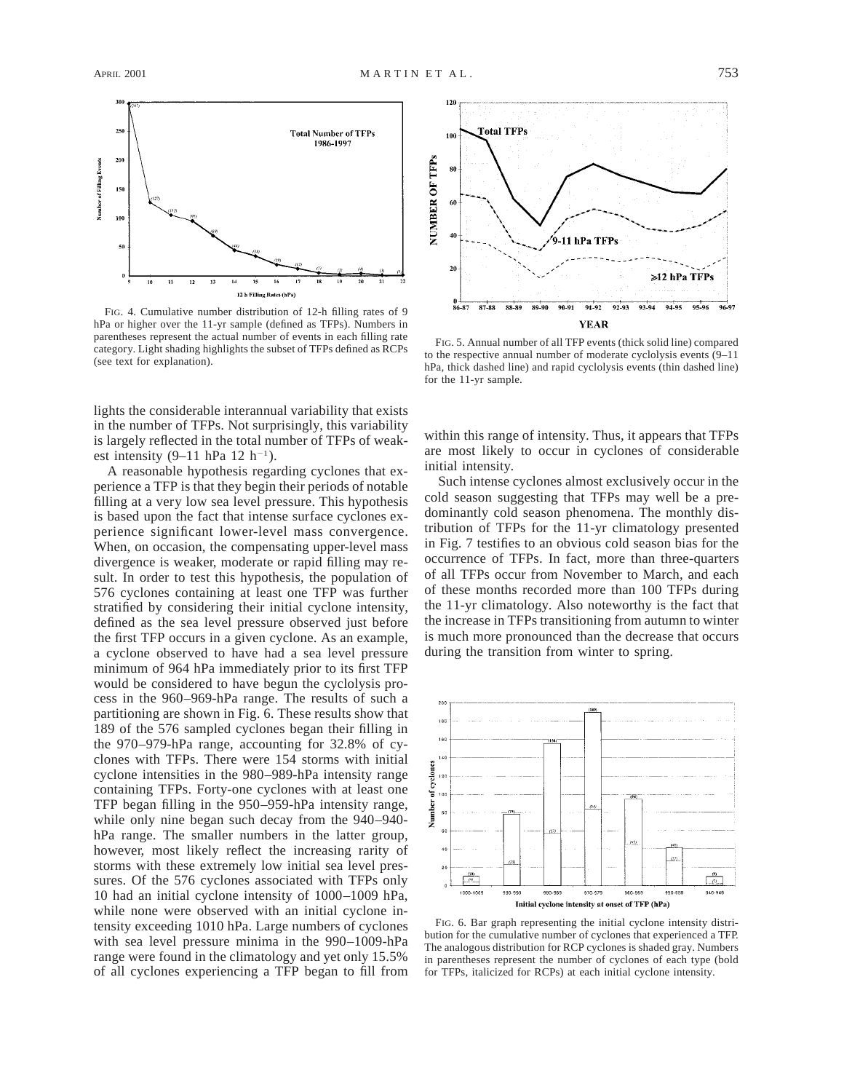

FIG. 4. Cumulative number distribution of 12-h filling rates of 9 hPa or higher over the 11-yr sample (defined as TFPs). Numbers in parentheses represent the actual number of events in each filling rate category. Light shading highlights the subset of TFPs defined as RCPs (see text for explanation).

lights the considerable interannual variability that exists in the number of TFPs. Not surprisingly, this variability is largely reflected in the total number of TFPs of weakest intensity  $(9-11$  hPa  $12$  h<sup>-1</sup>).

A reasonable hypothesis regarding cyclones that experience a TFP is that they begin their periods of notable filling at a very low sea level pressure. This hypothesis is based upon the fact that intense surface cyclones experience significant lower-level mass convergence. When, on occasion, the compensating upper-level mass divergence is weaker, moderate or rapid filling may result. In order to test this hypothesis, the population of 576 cyclones containing at least one TFP was further stratified by considering their initial cyclone intensity, defined as the sea level pressure observed just before the first TFP occurs in a given cyclone. As an example, a cyclone observed to have had a sea level pressure minimum of 964 hPa immediately prior to its first TFP would be considered to have begun the cyclolysis process in the 960–969-hPa range. The results of such a partitioning are shown in Fig. 6. These results show that 189 of the 576 sampled cyclones began their filling in the 970–979-hPa range, accounting for 32.8% of cyclones with TFPs. There were 154 storms with initial cyclone intensities in the 980–989-hPa intensity range containing TFPs. Forty-one cyclones with at least one TFP began filling in the 950–959-hPa intensity range, while only nine began such decay from the 940–940 hPa range. The smaller numbers in the latter group, however, most likely reflect the increasing rarity of storms with these extremely low initial sea level pressures. Of the 576 cyclones associated with TFPs only 10 had an initial cyclone intensity of 1000–1009 hPa, while none were observed with an initial cyclone intensity exceeding 1010 hPa. Large numbers of cyclones with sea level pressure minima in the 990–1009-hPa range were found in the climatology and yet only 15.5% of all cyclones experiencing a TFP began to fill from



FIG. 5. Annual number of all TFP events (thick solid line) compared to the respective annual number of moderate cyclolysis events (9–11 hPa, thick dashed line) and rapid cyclolysis events (thin dashed line) for the 11-yr sample.

within this range of intensity. Thus, it appears that TFPs are most likely to occur in cyclones of considerable initial intensity.

Such intense cyclones almost exclusively occur in the cold season suggesting that TFPs may well be a predominantly cold season phenomena. The monthly distribution of TFPs for the 11-yr climatology presented in Fig. 7 testifies to an obvious cold season bias for the occurrence of TFPs. In fact, more than three-quarters of all TFPs occur from November to March, and each of these months recorded more than 100 TFPs during the 11-yr climatology. Also noteworthy is the fact that the increase in TFPs transitioning from autumn to winter is much more pronounced than the decrease that occurs during the transition from winter to spring.



FIG. 6. Bar graph representing the initial cyclone intensity distribution for the cumulative number of cyclones that experienced a TFP. The analogous distribution for RCP cyclones is shaded gray. Numbers in parentheses represent the number of cyclones of each type (bold for TFPs, italicized for RCPs) at each initial cyclone intensity.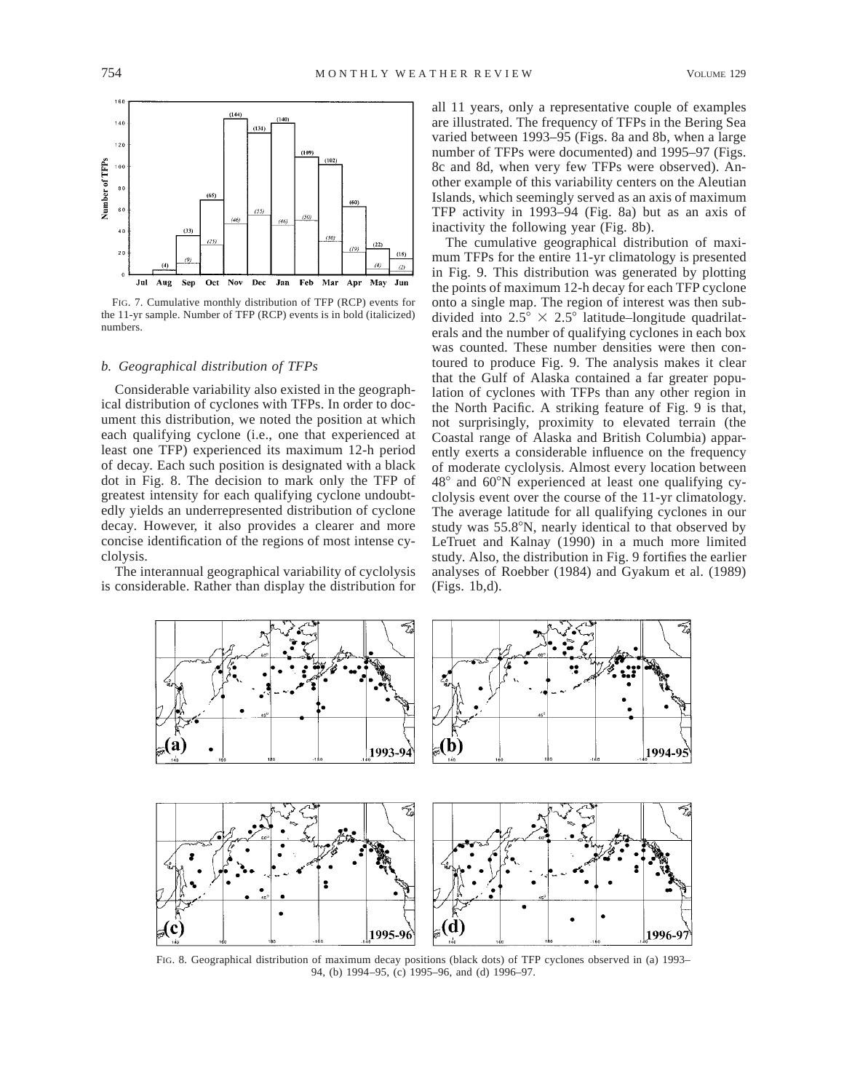

FIG. 7. Cumulative monthly distribution of TFP (RCP) events for the 11-yr sample. Number of TFP (RCP) events is in bold (italicized) numbers.

#### *b. Geographical distribution of TFPs*

Considerable variability also existed in the geographical distribution of cyclones with TFPs. In order to document this distribution, we noted the position at which each qualifying cyclone (i.e., one that experienced at least one TFP) experienced its maximum 12-h period of decay. Each such position is designated with a black dot in Fig. 8. The decision to mark only the TFP of greatest intensity for each qualifying cyclone undoubtedly yields an underrepresented distribution of cyclone decay. However, it also provides a clearer and more concise identification of the regions of most intense cyclolysis.

The interannual geographical variability of cyclolysis is considerable. Rather than display the distribution for all 11 years, only a representative couple of examples are illustrated. The frequency of TFPs in the Bering Sea varied between 1993–95 (Figs. 8a and 8b, when a large number of TFPs were documented) and 1995–97 (Figs. 8c and 8d, when very few TFPs were observed). Another example of this variability centers on the Aleutian Islands, which seemingly served as an axis of maximum TFP activity in 1993–94 (Fig. 8a) but as an axis of inactivity the following year (Fig. 8b).

The cumulative geographical distribution of maximum TFPs for the entire 11-yr climatology is presented in Fig. 9. This distribution was generated by plotting the points of maximum 12-h decay for each TFP cyclone onto a single map. The region of interest was then subdivided into  $2.5^{\circ} \times 2.5^{\circ}$  latitude–longitude quadrilaterals and the number of qualifying cyclones in each box was counted. These number densities were then contoured to produce Fig. 9. The analysis makes it clear that the Gulf of Alaska contained a far greater population of cyclones with TFPs than any other region in the North Pacific. A striking feature of Fig. 9 is that, not surprisingly, proximity to elevated terrain (the Coastal range of Alaska and British Columbia) apparently exerts a considerable influence on the frequency of moderate cyclolysis. Almost every location between  $48^{\circ}$  and  $60^{\circ}$ N experienced at least one qualifying cyclolysis event over the course of the 11-yr climatology. The average latitude for all qualifying cyclones in our study was  $55.8^{\circ}$ N, nearly identical to that observed by LeTruet and Kalnay (1990) in a much more limited study. Also, the distribution in Fig. 9 fortifies the earlier analyses of Roebber (1984) and Gyakum et al. (1989) (Figs. 1b,d).



FIG. 8. Geographical distribution of maximum decay positions (black dots) of TFP cyclones observed in (a) 1993– 94, (b) 1994–95, (c) 1995–96, and (d) 1996–97.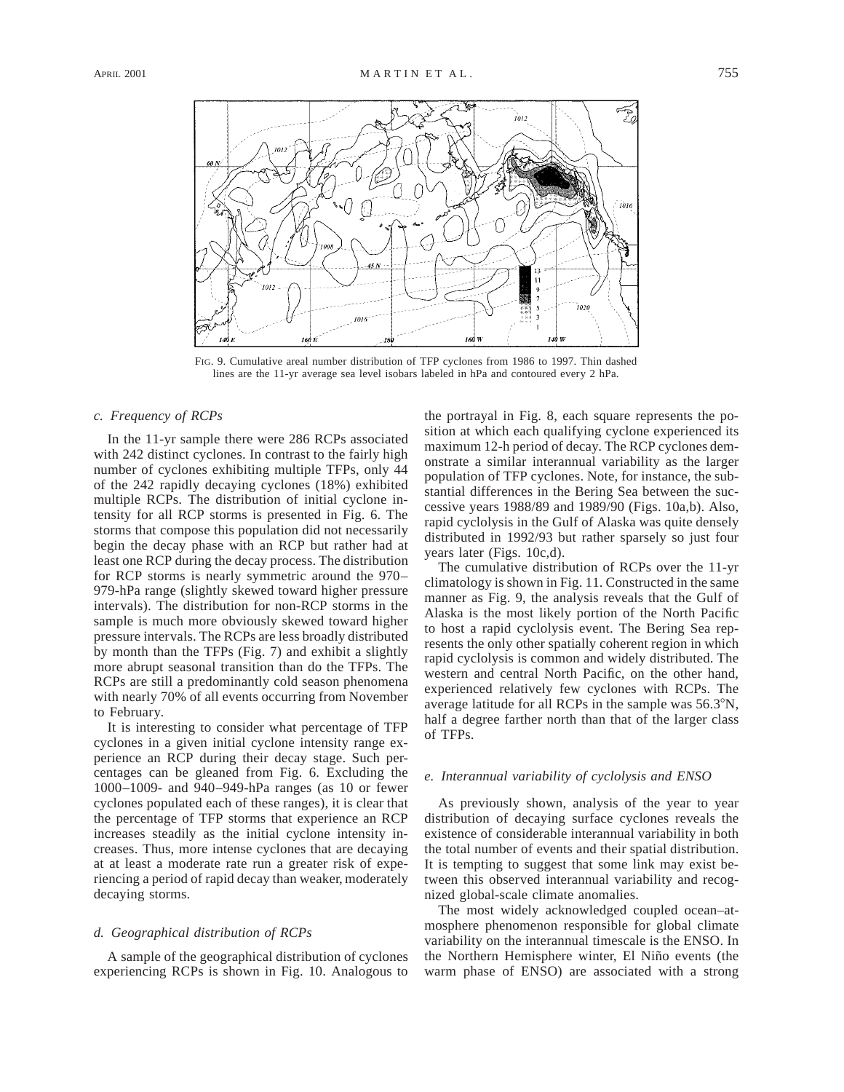

FIG. 9. Cumulative areal number distribution of TFP cyclones from 1986 to 1997. Thin dashed lines are the 11-yr average sea level isobars labeled in hPa and contoured every 2 hPa.

# *c. Frequency of RCPs*

In the 11-yr sample there were 286 RCPs associated with 242 distinct cyclones. In contrast to the fairly high number of cyclones exhibiting multiple TFPs, only 44 of the 242 rapidly decaying cyclones (18%) exhibited multiple RCPs. The distribution of initial cyclone intensity for all RCP storms is presented in Fig. 6. The storms that compose this population did not necessarily begin the decay phase with an RCP but rather had at least one RCP during the decay process. The distribution for RCP storms is nearly symmetric around the 970– 979-hPa range (slightly skewed toward higher pressure intervals). The distribution for non-RCP storms in the sample is much more obviously skewed toward higher pressure intervals. The RCPs are less broadly distributed by month than the TFPs (Fig. 7) and exhibit a slightly more abrupt seasonal transition than do the TFPs. The RCPs are still a predominantly cold season phenomena with nearly 70% of all events occurring from November to February.

It is interesting to consider what percentage of TFP cyclones in a given initial cyclone intensity range experience an RCP during their decay stage. Such percentages can be gleaned from Fig. 6. Excluding the 1000–1009- and 940–949-hPa ranges (as 10 or fewer cyclones populated each of these ranges), it is clear that the percentage of TFP storms that experience an RCP increases steadily as the initial cyclone intensity increases. Thus, more intense cyclones that are decaying at at least a moderate rate run a greater risk of experiencing a period of rapid decay than weaker, moderately decaying storms.

# *d. Geographical distribution of RCPs*

A sample of the geographical distribution of cyclones experiencing RCPs is shown in Fig. 10. Analogous to the portrayal in Fig. 8, each square represents the position at which each qualifying cyclone experienced its maximum 12-h period of decay. The RCP cyclones demonstrate a similar interannual variability as the larger population of TFP cyclones. Note, for instance, the substantial differences in the Bering Sea between the successive years 1988/89 and 1989/90 (Figs. 10a,b). Also, rapid cyclolysis in the Gulf of Alaska was quite densely distributed in 1992/93 but rather sparsely so just four years later (Figs. 10c,d).

The cumulative distribution of RCPs over the 11-yr climatology is shown in Fig. 11. Constructed in the same manner as Fig. 9, the analysis reveals that the Gulf of Alaska is the most likely portion of the North Pacific to host a rapid cyclolysis event. The Bering Sea represents the only other spatially coherent region in which rapid cyclolysis is common and widely distributed. The western and central North Pacific, on the other hand, experienced relatively few cyclones with RCPs. The average latitude for all RCPs in the sample was 56.3°N, half a degree farther north than that of the larger class of TFPs.

### *e. Interannual variability of cyclolysis and ENSO*

As previously shown, analysis of the year to year distribution of decaying surface cyclones reveals the existence of considerable interannual variability in both the total number of events and their spatial distribution. It is tempting to suggest that some link may exist between this observed interannual variability and recognized global-scale climate anomalies.

The most widely acknowledged coupled ocean–atmosphere phenomenon responsible for global climate variability on the interannual timescale is the ENSO. In the Northern Hemisphere winter, El Niño events (the warm phase of ENSO) are associated with a strong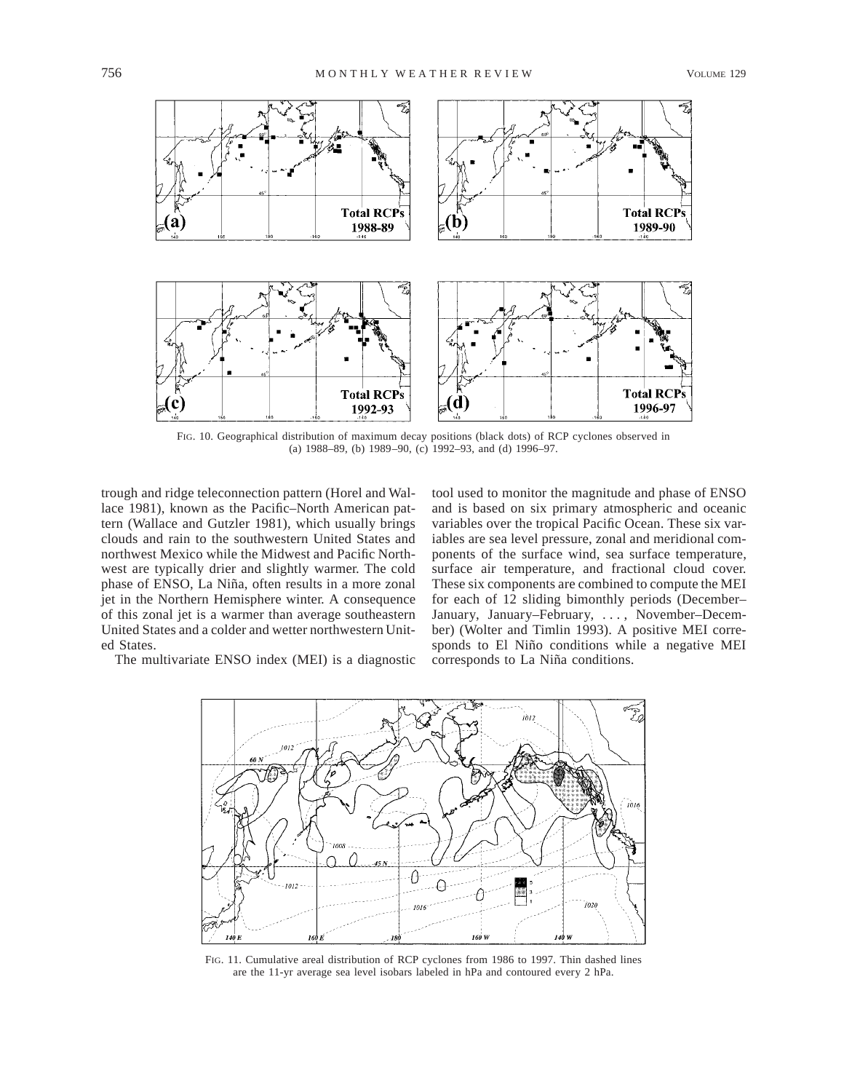

FIG. 10. Geographical distribution of maximum decay positions (black dots) of RCP cyclones observed in (a) 1988–89, (b) 1989–90, (c) 1992–93, and (d) 1996–97.

trough and ridge teleconnection pattern (Horel and Wallace 1981), known as the Pacific–North American pattern (Wallace and Gutzler 1981), which usually brings clouds and rain to the southwestern United States and northwest Mexico while the Midwest and Pacific Northwest are typically drier and slightly warmer. The cold phase of ENSO, La Niña, often results in a more zonal jet in the Northern Hemisphere winter. A consequence of this zonal jet is a warmer than average southeastern United States and a colder and wetter northwestern United States.

The multivariate ENSO index (MEI) is a diagnostic

tool used to monitor the magnitude and phase of ENSO and is based on six primary atmospheric and oceanic variables over the tropical Pacific Ocean. These six variables are sea level pressure, zonal and meridional components of the surface wind, sea surface temperature, surface air temperature, and fractional cloud cover. These six components are combined to compute the MEI for each of 12 sliding bimonthly periods (December– January, January–February, ..., November–December) (Wolter and Timlin 1993). A positive MEI corresponds to El Niño conditions while a negative MEI corresponds to La Niña conditions.



FIG. 11. Cumulative areal distribution of RCP cyclones from 1986 to 1997. Thin dashed lines are the 11-yr average sea level isobars labeled in hPa and contoured every 2 hPa.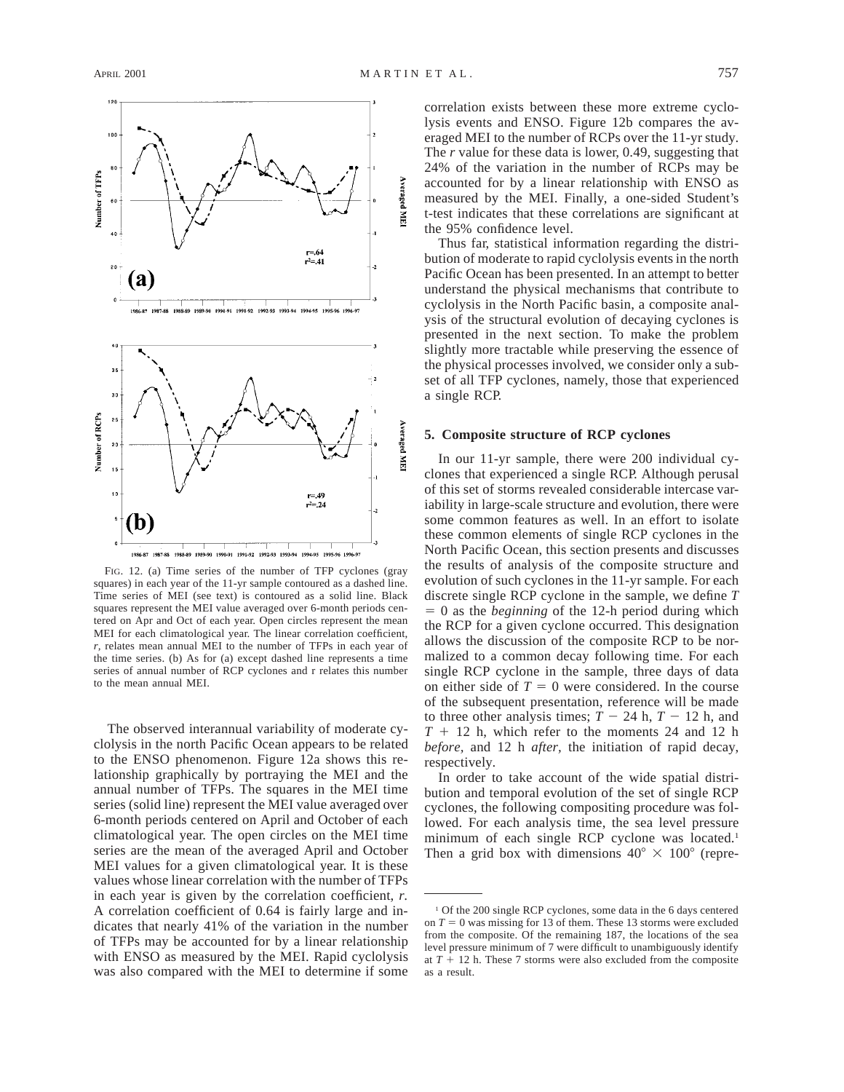

FIG. 12. (a) Time series of the number of TFP cyclones (gray squares) in each year of the 11-yr sample contoured as a dashed line. Time series of MEI (see text) is contoured as a solid line. Black squares represent the MEI value averaged over 6-month periods centered on Apr and Oct of each year. Open circles represent the mean MEI for each climatological year. The linear correlation coefficient, *r,* relates mean annual MEI to the number of TFPs in each year of the time series. (b) As for (a) except dashed line represents a time series of annual number of RCP cyclones and r relates this number to the mean annual MEI.

The observed interannual variability of moderate cyclolysis in the north Pacific Ocean appears to be related to the ENSO phenomenon. Figure 12a shows this relationship graphically by portraying the MEI and the annual number of TFPs. The squares in the MEI time series (solid line) represent the MEI value averaged over 6-month periods centered on April and October of each climatological year. The open circles on the MEI time series are the mean of the averaged April and October MEI values for a given climatological year. It is these values whose linear correlation with the number of TFPs in each year is given by the correlation coefficient, *r.* A correlation coefficient of 0.64 is fairly large and indicates that nearly 41% of the variation in the number of TFPs may be accounted for by a linear relationship with ENSO as measured by the MEI. Rapid cyclolysis was also compared with the MEI to determine if some correlation exists between these more extreme cyclolysis events and ENSO. Figure 12b compares the averaged MEI to the number of RCPs over the 11-yr study. The *r* value for these data is lower, 0.49, suggesting that 24% of the variation in the number of RCPs may be accounted for by a linear relationship with ENSO as measured by the MEI. Finally, a one-sided Student's t-test indicates that these correlations are significant at the 95% confidence level.

Thus far, statistical information regarding the distribution of moderate to rapid cyclolysis events in the north Pacific Ocean has been presented. In an attempt to better understand the physical mechanisms that contribute to cyclolysis in the North Pacific basin, a composite analysis of the structural evolution of decaying cyclones is presented in the next section. To make the problem slightly more tractable while preserving the essence of the physical processes involved, we consider only a subset of all TFP cyclones, namely, those that experienced a single RCP.

## **5. Composite structure of RCP cyclones**

In our 11-yr sample, there were 200 individual cyclones that experienced a single RCP. Although perusal of this set of storms revealed considerable intercase variability in large-scale structure and evolution, there were some common features as well. In an effort to isolate these common elements of single RCP cyclones in the North Pacific Ocean, this section presents and discusses the results of analysis of the composite structure and evolution of such cyclones in the 11-yr sample. For each discrete single RCP cyclone in the sample, we define *T*  $= 0$  as the *beginning* of the 12-h period during which the RCP for a given cyclone occurred. This designation allows the discussion of the composite RCP to be normalized to a common decay following time. For each single RCP cyclone in the sample, three days of data on either side of  $T = 0$  were considered. In the course of the subsequent presentation, reference will be made to three other analysis times;  $T - 24$  h,  $T - 12$  h, and  $T + 12$  h, which refer to the moments 24 and 12 h *before,* and 12 h *after,* the initiation of rapid decay, respectively.

In order to take account of the wide spatial distribution and temporal evolution of the set of single RCP cyclones, the following compositing procedure was followed. For each analysis time, the sea level pressure minimum of each single RCP cyclone was located.<sup>1</sup> Then a grid box with dimensions  $40^{\circ} \times 100^{\circ}$  (repre-

<sup>1</sup> Of the 200 single RCP cyclones, some data in the 6 days centered on  $T = 0$  was missing for 13 of them. These 13 storms were excluded from the composite. Of the remaining 187, the locations of the sea level pressure minimum of 7 were difficult to unambiguously identify at  $T + 12$  h. These 7 storms were also excluded from the composite as a result.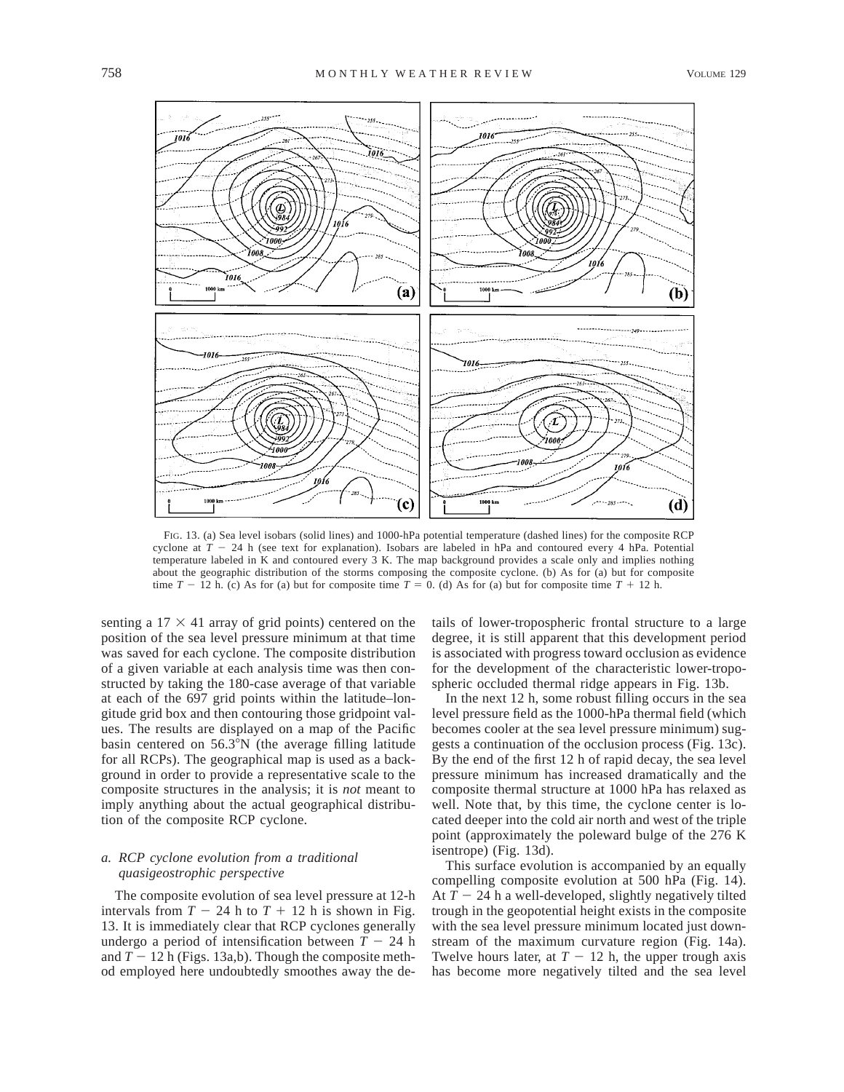

FIG. 13. (a) Sea level isobars (solid lines) and 1000-hPa potential temperature (dashed lines) for the composite RCP cyclone at  $T - 24$  h (see text for explanation). Isobars are labeled in hPa and contoured every 4 hPa. Potential temperature labeled in K and contoured every 3 K. The map background provides a scale only and implies nothing about the geographic distribution of the storms composing the composite cyclone. (b) As for (a) but for composite time  $T - 12$  h. (c) As for (a) but for composite time  $T = 0$ . (d) As for (a) but for composite time  $T + 12$  h.

senting a  $17 \times 41$  array of grid points) centered on the position of the sea level pressure minimum at that time was saved for each cyclone. The composite distribution of a given variable at each analysis time was then constructed by taking the 180-case average of that variable at each of the 697 grid points within the latitude–longitude grid box and then contouring those gridpoint values. The results are displayed on a map of the Pacific basin centered on  $56.3^{\circ}N$  (the average filling latitude for all RCPs). The geographical map is used as a background in order to provide a representative scale to the composite structures in the analysis; it is *not* meant to imply anything about the actual geographical distribution of the composite RCP cyclone.

# *a. RCP cyclone evolution from a traditional quasigeostrophic perspective*

The composite evolution of sea level pressure at 12-h intervals from  $T - 24$  h to  $T + 12$  h is shown in Fig. 13. It is immediately clear that RCP cyclones generally undergo a period of intensification between  $\overline{T}$  – 24 h and  $T - 12$  h (Figs. 13a,b). Though the composite method employed here undoubtedly smoothes away the details of lower-tropospheric frontal structure to a large degree, it is still apparent that this development period is associated with progress toward occlusion as evidence for the development of the characteristic lower-tropospheric occluded thermal ridge appears in Fig. 13b.

In the next 12 h, some robust filling occurs in the sea level pressure field as the 1000-hPa thermal field (which becomes cooler at the sea level pressure minimum) suggests a continuation of the occlusion process (Fig. 13c). By the end of the first 12 h of rapid decay, the sea level pressure minimum has increased dramatically and the composite thermal structure at 1000 hPa has relaxed as well. Note that, by this time, the cyclone center is located deeper into the cold air north and west of the triple point (approximately the poleward bulge of the 276 K isentrope) (Fig. 13d).

This surface evolution is accompanied by an equally compelling composite evolution at 500 hPa (Fig. 14). At  $T - 24$  h a well-developed, slightly negatively tilted trough in the geopotential height exists in the composite with the sea level pressure minimum located just downstream of the maximum curvature region (Fig. 14a). Twelve hours later, at  $T - 12$  h, the upper trough axis has become more negatively tilted and the sea level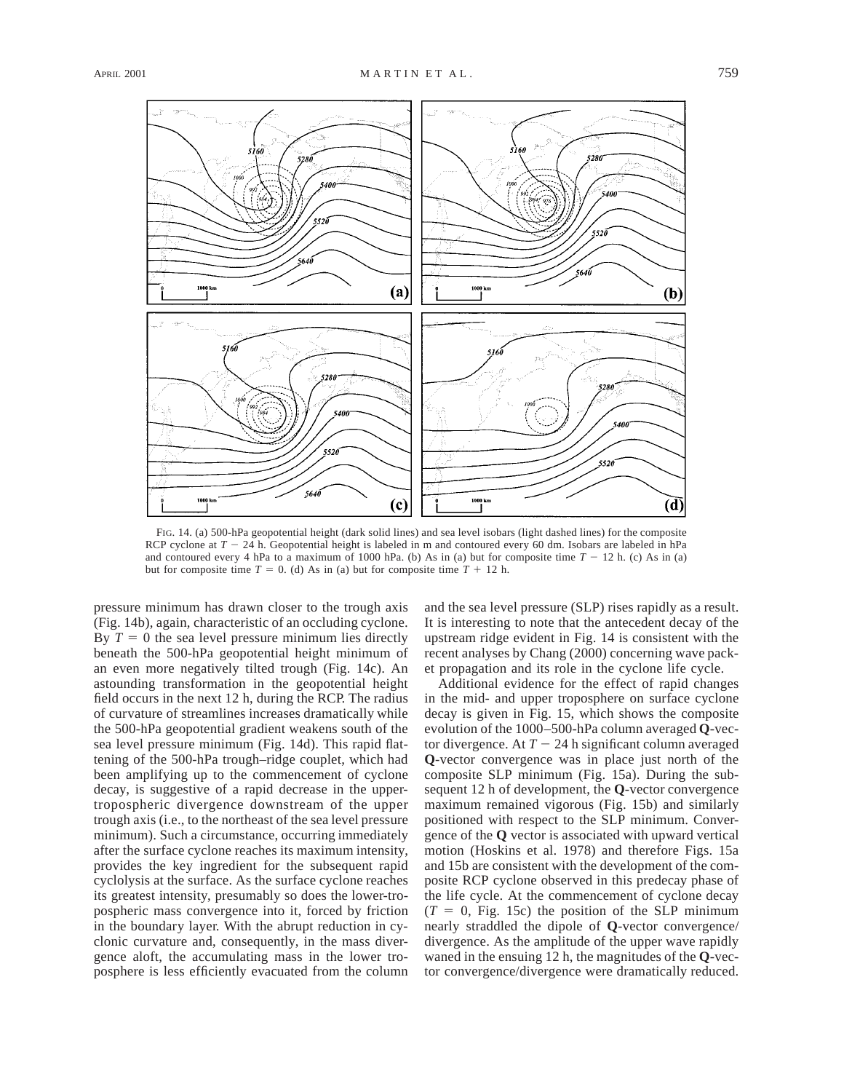

FIG. 14. (a) 500-hPa geopotential height (dark solid lines) and sea level isobars (light dashed lines) for the composite RCP cyclone at  $T - 24$  h. Geopotential height is labeled in m and contoured every 60 dm. Isobars are labeled in hPa and contoured every 4 hPa to a maximum of 1000 hPa. (b) As in (a) but for composite time  $T - 12$  h. (c) As in (a) but for composite time  $T = 0$ . (d) As in (a) but for composite time  $T + 12$  h.

pressure minimum has drawn closer to the trough axis (Fig. 14b), again, characteristic of an occluding cyclone. By  $T = 0$  the sea level pressure minimum lies directly beneath the 500-hPa geopotential height minimum of an even more negatively tilted trough (Fig. 14c). An astounding transformation in the geopotential height field occurs in the next 12 h, during the RCP. The radius of curvature of streamlines increases dramatically while the 500-hPa geopotential gradient weakens south of the sea level pressure minimum (Fig. 14d). This rapid flattening of the 500-hPa trough–ridge couplet, which had been amplifying up to the commencement of cyclone decay, is suggestive of a rapid decrease in the uppertropospheric divergence downstream of the upper trough axis (i.e., to the northeast of the sea level pressure minimum). Such a circumstance, occurring immediately after the surface cyclone reaches its maximum intensity, provides the key ingredient for the subsequent rapid cyclolysis at the surface. As the surface cyclone reaches its greatest intensity, presumably so does the lower-tropospheric mass convergence into it, forced by friction in the boundary layer. With the abrupt reduction in cyclonic curvature and, consequently, in the mass divergence aloft, the accumulating mass in the lower troposphere is less efficiently evacuated from the column and the sea level pressure (SLP) rises rapidly as a result. It is interesting to note that the antecedent decay of the upstream ridge evident in Fig. 14 is consistent with the recent analyses by Chang (2000) concerning wave packet propagation and its role in the cyclone life cycle.

Additional evidence for the effect of rapid changes in the mid- and upper troposphere on surface cyclone decay is given in Fig. 15, which shows the composite evolution of the 1000–500-hPa column averaged **Q**-vector divergence. At  $T - 24$  h significant column averaged **Q**-vector convergence was in place just north of the composite SLP minimum (Fig. 15a). During the subsequent 12 h of development, the **Q**-vector convergence maximum remained vigorous (Fig. 15b) and similarly positioned with respect to the SLP minimum. Convergence of the **Q** vector is associated with upward vertical motion (Hoskins et al. 1978) and therefore Figs. 15a and 15b are consistent with the development of the composite RCP cyclone observed in this predecay phase of the life cycle. At the commencement of cyclone decay  $(T = 0,$  Fig. 15c) the position of the SLP minimum nearly straddled the dipole of **Q**-vector convergence/ divergence. As the amplitude of the upper wave rapidly waned in the ensuing 12 h, the magnitudes of the **Q**-vector convergence/divergence were dramatically reduced.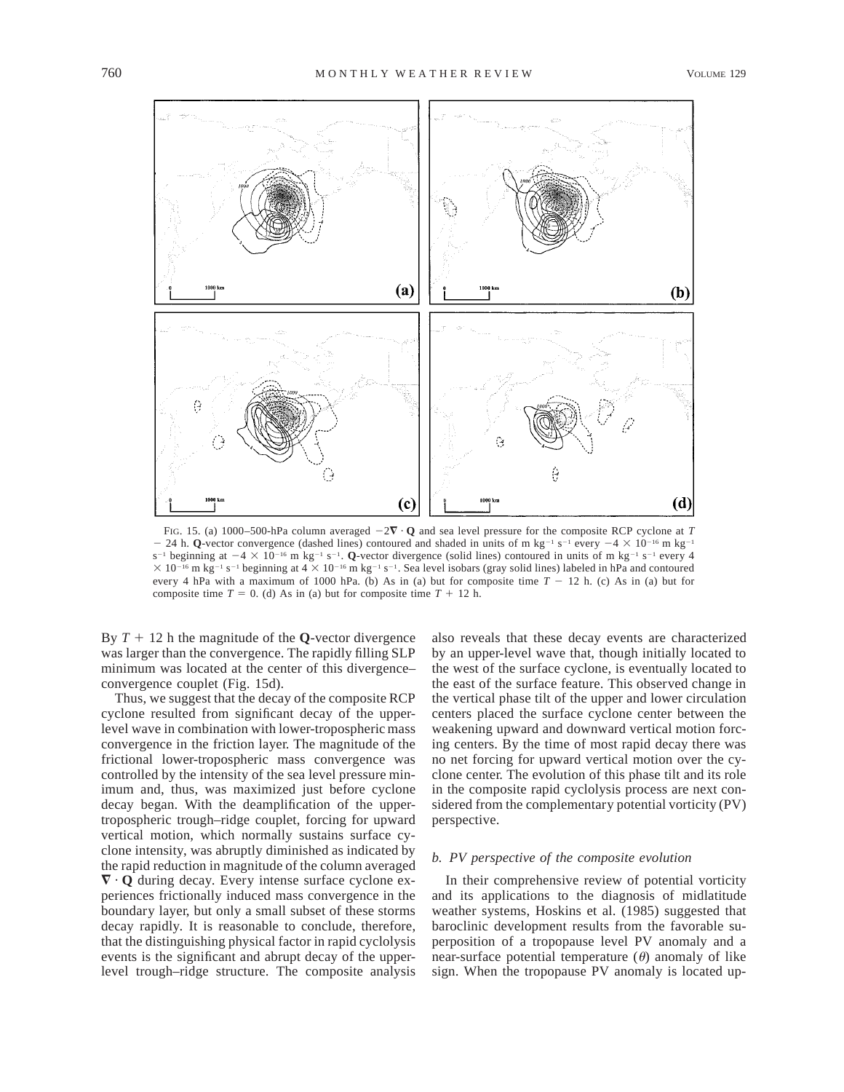

FIG. 15. (a) 1000–500-hPa column averaged  $-2\nabla \cdot \mathbf{Q}$  and sea level pressure for the composite RCP cyclone at *T*  $-$  24 h. **Q**-vector convergence (dashed lines) contoured and shaded in units of m kg<sup>-1</sup> s<sup>21</sup> every  $-4 \times 10^{-16}$  m kg<sup>-1</sup>  $s^{-1}$  beginning at  $-4 \times 10^{-16}$  m kg<sup>-1</sup> s<sup>-1</sup>. **Q**-vector divergence (solid lines) contoured in units of m kg<sup>-1</sup> s<sup>-1</sup> every 4  $\times$  10<sup>-16</sup> m kg<sup>-1</sup> s<sup>-1</sup> beginning at 4  $\times$  10<sup>-16</sup> m kg<sup>-1</sup> s<sup>-1</sup>. Sea level isobars (gray solid lines) labeled in hPa and contoured every 4 hPa with a maximum of 1000 hPa. (b) As in (a) but for composite time  $T - 12$  h. (c) As in (a) but for composite time  $T = 0$ . (d) As in (a) but for composite time  $T + 12$  h.

By  $T + 12$  h the magnitude of the **Q**-vector divergence was larger than the convergence. The rapidly filling SLP minimum was located at the center of this divergence– convergence couplet (Fig. 15d).

Thus, we suggest that the decay of the composite RCP cyclone resulted from significant decay of the upperlevel wave in combination with lower-tropospheric mass convergence in the friction layer. The magnitude of the frictional lower-tropospheric mass convergence was controlled by the intensity of the sea level pressure minimum and, thus, was maximized just before cyclone decay began. With the deamplification of the uppertropospheric trough–ridge couplet, forcing for upward vertical motion, which normally sustains surface cyclone intensity, was abruptly diminished as indicated by the rapid reduction in magnitude of the column averaged  $\nabla \cdot \mathbf{Q}$  during decay. Every intense surface cyclone experiences frictionally induced mass convergence in the boundary layer, but only a small subset of these storms decay rapidly. It is reasonable to conclude, therefore, that the distinguishing physical factor in rapid cyclolysis events is the significant and abrupt decay of the upperlevel trough–ridge structure. The composite analysis

also reveals that these decay events are characterized by an upper-level wave that, though initially located to the west of the surface cyclone, is eventually located to the east of the surface feature. This observed change in the vertical phase tilt of the upper and lower circulation centers placed the surface cyclone center between the weakening upward and downward vertical motion forcing centers. By the time of most rapid decay there was no net forcing for upward vertical motion over the cyclone center. The evolution of this phase tilt and its role in the composite rapid cyclolysis process are next considered from the complementary potential vorticity (PV) perspective.

### *b. PV perspective of the composite evolution*

In their comprehensive review of potential vorticity and its applications to the diagnosis of midlatitude weather systems, Hoskins et al. (1985) suggested that baroclinic development results from the favorable superposition of a tropopause level PV anomaly and a near-surface potential temperature  $(\theta)$  anomaly of like sign. When the tropopause PV anomaly is located up-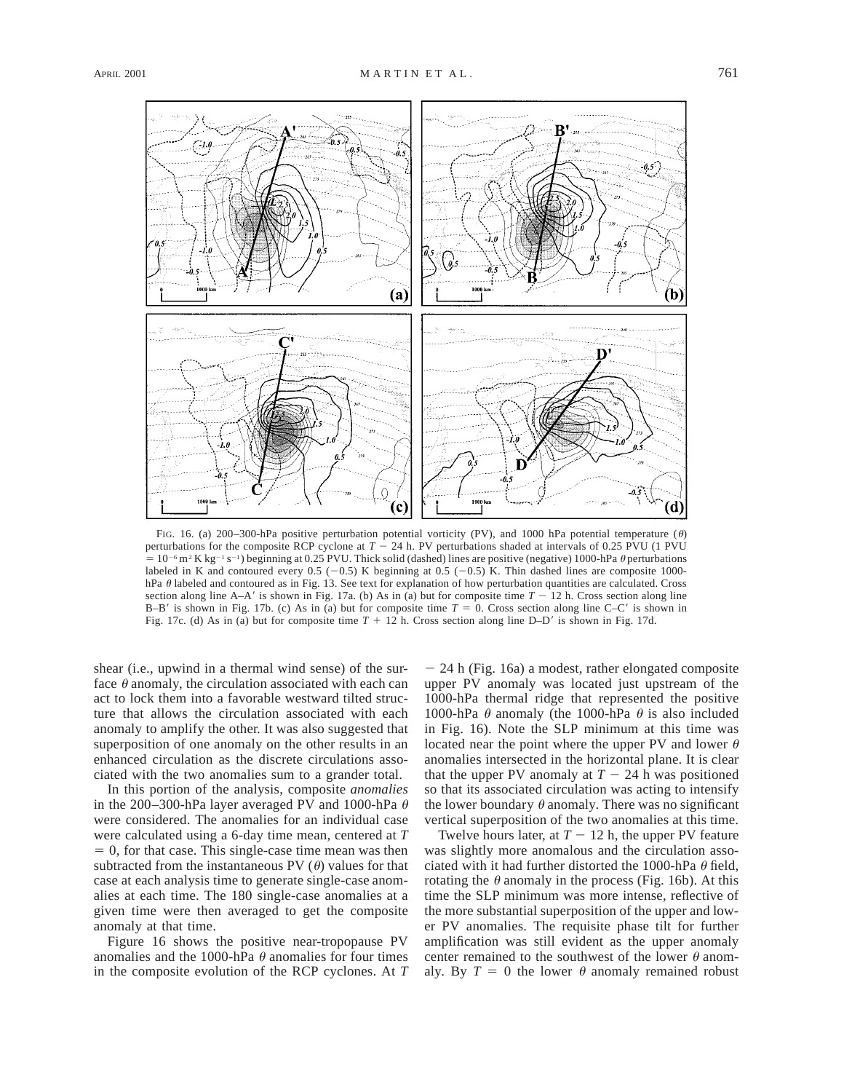

FIG. 16. (a) 200-300-hPa positive perturbation potential vorticity (PV), and 1000 hPa potential temperature ( $\theta$ ) perturbations for the composite RCP cyclone at  $T - 24$  h. PV perturbations shaded at intervals of 0.25 PVU (1 PVU  $= 10^{-6}$  m<sup>2</sup> K kg<sup>-1</sup> s<sup>-1</sup>) beginning at 0.25 PVU. Thick solid (dashed) lines are positive (negative) 1000-hPa  $\theta$  perturbations labeled in K and contoured every 0.5 (-0.5) K beginning at 0.5 (-0.5) K. Thin dashed lines are composite 1000hPa  $\theta$  labeled and contoured as in Fig. 13. See text for explanation of how perturbation quantities are calculated. Cross section along line A–A' is shown in Fig. 17a. (b) As in (a) but for composite time  $T - 12$  h. Cross section along line B–B<sup> $\prime$ </sup> is shown in Fig. 17b. (c) As in (a) but for composite time  $T = 0$ . Cross section along line C–C $\prime$  is shown in Fig. 17c. (d) As in (a) but for composite time  $T + 12$  h. Cross section along line D–D' is shown in Fig. 17d.

shear (i.e., upwind in a thermal wind sense) of the surface  $\theta$  anomaly, the circulation associated with each can act to lock them into a favorable westward tilted structure that allows the circulation associated with each anomaly to amplify the other. It was also suggested that superposition of one anomaly on the other results in an enhanced circulation as the discrete circulations associated with the two anomalies sum to a grander total.

In this portion of the analysis, composite *anomalies* in the 200–300-hPa layer averaged PV and 1000-hPa  $\theta$ were considered. The anomalies for an individual case were calculated using a 6-day time mean, centered at *T*  $= 0$ , for that case. This single-case time mean was then subtracted from the instantaneous PV  $(\theta)$  values for that case at each analysis time to generate single-case anomalies at each time. The 180 single-case anomalies at a given time were then averaged to get the composite anomaly at that time.

Figure 16 shows the positive near-tropopause PV anomalies and the 1000-hPa  $\theta$  anomalies for four times in the composite evolution of the RCP cyclones. At *T*

 $-24$  h (Fig. 16a) a modest, rather elongated composite upper PV anomaly was located just upstream of the 1000-hPa thermal ridge that represented the positive 1000-hPa  $\theta$  anomaly (the 1000-hPa  $\theta$  is also included in Fig. 16). Note the SLP minimum at this time was located near the point where the upper PV and lower  $\theta$ anomalies intersected in the horizontal plane. It is clear that the upper PV anomaly at  $T - 24$  h was positioned so that its associated circulation was acting to intensify the lower boundary  $\theta$  anomaly. There was no significant vertical superposition of the two anomalies at this time.

Twelve hours later, at  $T - 12$  h, the upper PV feature was slightly more anomalous and the circulation associated with it had further distorted the 1000-hPa  $\theta$  field, rotating the  $\theta$  anomaly in the process (Fig. 16b). At this time the SLP minimum was more intense, reflective of the more substantial superposition of the upper and lower PV anomalies. The requisite phase tilt for further amplification was still evident as the upper anomaly center remained to the southwest of the lower  $\theta$  anomaly. By  $T = 0$  the lower  $\theta$  anomaly remained robust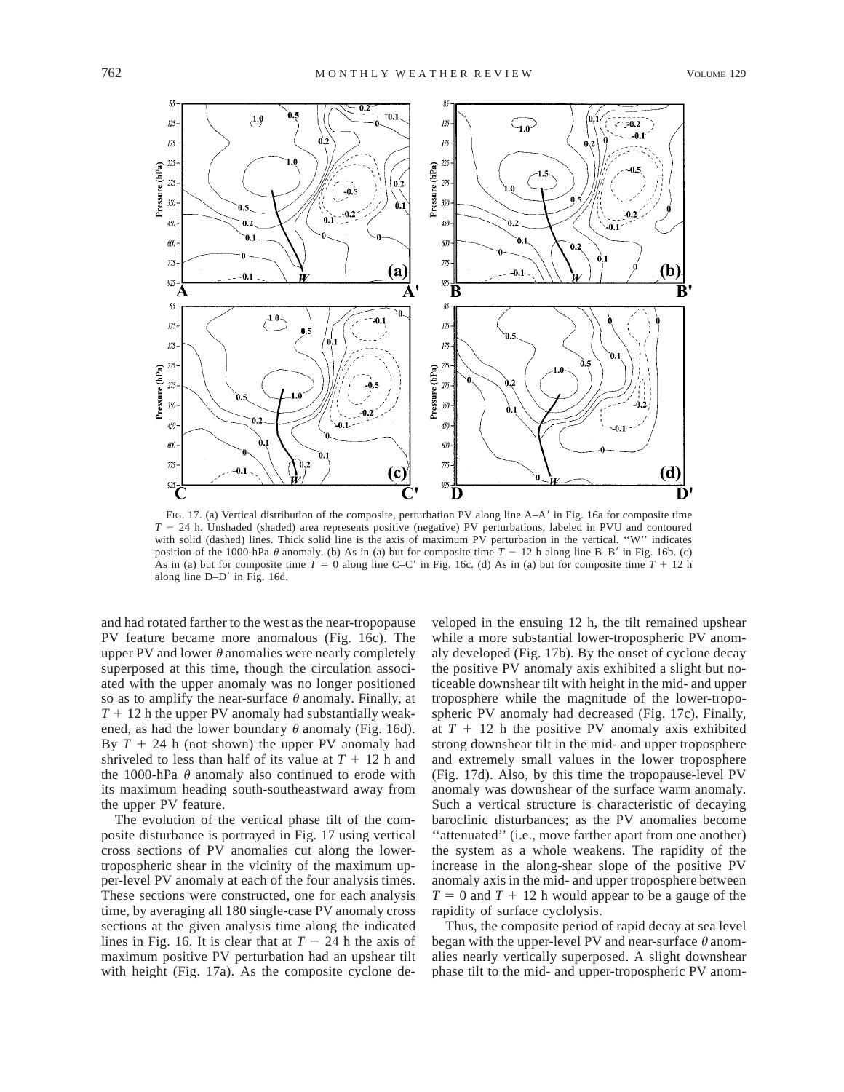

FIG. 17. (a) Vertical distribution of the composite, perturbation PV along line A–A' in Fig. 16a for composite time *T* 2 24 h. Unshaded (shaded) area represents positive (negative) PV perturbations, labeled in PVU and contoured with solid (dashed) lines. Thick solid line is the axis of maximum PV perturbation in the vertical. "W" indicates position of the 1000-hPa  $\theta$  anomaly. (b) As in (a) but for composite time  $T - 12$  h along line B–B' in Fig. 16b. (c) As in (a) but for composite time  $T = 0$  along line C–C' in Fig. 16c. (d) As in (a) but for composite time  $T + 12$  h along line  $D-D'$  in Fig. 16d.

and had rotated farther to the west as the near-tropopause PV feature became more anomalous (Fig. 16c). The upper PV and lower  $\theta$  anomalies were nearly completely superposed at this time, though the circulation associated with the upper anomaly was no longer positioned so as to amplify the near-surface  $\theta$  anomaly. Finally, at  $T + 12$  h the upper PV anomaly had substantially weakened, as had the lower boundary  $\theta$  anomaly (Fig. 16d). By  $T + 24$  h (not shown) the upper PV anomaly had shriveled to less than half of its value at  $T + 12$  h and the 1000-hPa  $\theta$  anomaly also continued to erode with its maximum heading south-southeastward away from the upper PV feature.

The evolution of the vertical phase tilt of the composite disturbance is portrayed in Fig. 17 using vertical cross sections of PV anomalies cut along the lowertropospheric shear in the vicinity of the maximum upper-level PV anomaly at each of the four analysis times. These sections were constructed, one for each analysis time, by averaging all 180 single-case PV anomaly cross sections at the given analysis time along the indicated lines in Fig. 16. It is clear that at  $T - 24$  h the axis of maximum positive PV perturbation had an upshear tilt with height (Fig. 17a). As the composite cyclone developed in the ensuing 12 h, the tilt remained upshear while a more substantial lower-tropospheric PV anomaly developed (Fig. 17b). By the onset of cyclone decay the positive PV anomaly axis exhibited a slight but noticeable downshear tilt with height in the mid- and upper troposphere while the magnitude of the lower-tropospheric PV anomaly had decreased (Fig. 17c). Finally, at  $T + 12$  h the positive PV anomaly axis exhibited strong downshear tilt in the mid- and upper troposphere and extremely small values in the lower troposphere (Fig. 17d). Also, by this time the tropopause-level PV anomaly was downshear of the surface warm anomaly. Such a vertical structure is characteristic of decaying baroclinic disturbances; as the PV anomalies become "attenuated" (i.e., move farther apart from one another) the system as a whole weakens. The rapidity of the increase in the along-shear slope of the positive PV anomaly axis in the mid- and upper troposphere between  $T = 0$  and  $T + 12$  h would appear to be a gauge of the rapidity of surface cyclolysis.

Thus, the composite period of rapid decay at sea level began with the upper-level PV and near-surface  $\theta$  anomalies nearly vertically superposed. A slight downshear phase tilt to the mid- and upper-tropospheric PV anom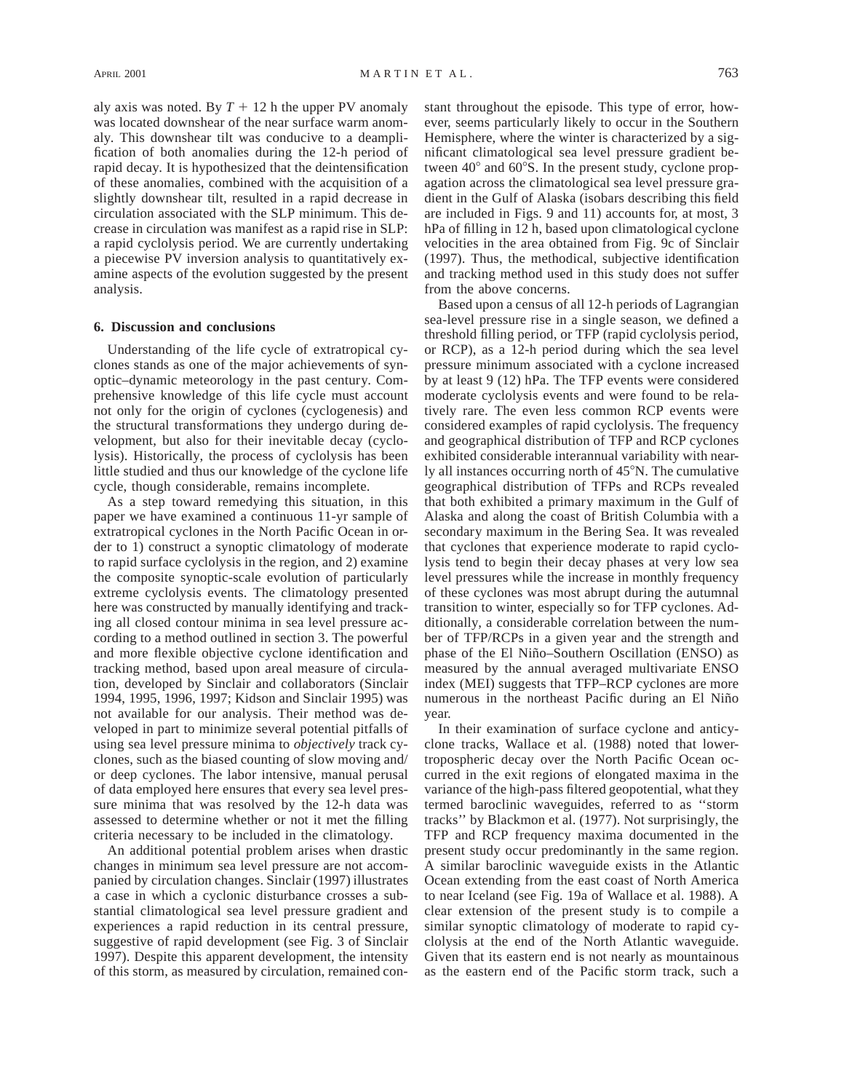aly axis was noted. By  $T + 12$  h the upper PV anomaly was located downshear of the near surface warm anomaly. This downshear tilt was conducive to a deamplification of both anomalies during the 12-h period of rapid decay. It is hypothesized that the deintensification of these anomalies, combined with the acquisition of a slightly downshear tilt, resulted in a rapid decrease in circulation associated with the SLP minimum. This decrease in circulation was manifest as a rapid rise in SLP: a rapid cyclolysis period. We are currently undertaking a piecewise PV inversion analysis to quantitatively examine aspects of the evolution suggested by the present analysis.

### **6. Discussion and conclusions**

Understanding of the life cycle of extratropical cyclones stands as one of the major achievements of synoptic–dynamic meteorology in the past century. Comprehensive knowledge of this life cycle must account not only for the origin of cyclones (cyclogenesis) and the structural transformations they undergo during development, but also for their inevitable decay (cyclolysis). Historically, the process of cyclolysis has been little studied and thus our knowledge of the cyclone life cycle, though considerable, remains incomplete.

As a step toward remedying this situation, in this paper we have examined a continuous 11-yr sample of extratropical cyclones in the North Pacific Ocean in order to 1) construct a synoptic climatology of moderate to rapid surface cyclolysis in the region, and 2) examine the composite synoptic-scale evolution of particularly extreme cyclolysis events. The climatology presented here was constructed by manually identifying and tracking all closed contour minima in sea level pressure according to a method outlined in section 3. The powerful and more flexible objective cyclone identification and tracking method, based upon areal measure of circulation, developed by Sinclair and collaborators (Sinclair 1994, 1995, 1996, 1997; Kidson and Sinclair 1995) was not available for our analysis. Their method was developed in part to minimize several potential pitfalls of using sea level pressure minima to *objectively* track cyclones, such as the biased counting of slow moving and/ or deep cyclones. The labor intensive, manual perusal of data employed here ensures that every sea level pressure minima that was resolved by the 12-h data was assessed to determine whether or not it met the filling criteria necessary to be included in the climatology.

An additional potential problem arises when drastic changes in minimum sea level pressure are not accompanied by circulation changes. Sinclair (1997) illustrates a case in which a cyclonic disturbance crosses a substantial climatological sea level pressure gradient and experiences a rapid reduction in its central pressure, suggestive of rapid development (see Fig. 3 of Sinclair 1997). Despite this apparent development, the intensity of this storm, as measured by circulation, remained constant throughout the episode. This type of error, however, seems particularly likely to occur in the Southern Hemisphere, where the winter is characterized by a significant climatological sea level pressure gradient between  $40^{\circ}$  and  $60^{\circ}$ S. In the present study, cyclone propagation across the climatological sea level pressure gradient in the Gulf of Alaska (isobars describing this field are included in Figs. 9 and 11) accounts for, at most, 3 hPa of filling in 12 h, based upon climatological cyclone velocities in the area obtained from Fig. 9c of Sinclair (1997). Thus, the methodical, subjective identification and tracking method used in this study does not suffer from the above concerns.

Based upon a census of all 12-h periods of Lagrangian sea-level pressure rise in a single season, we defined a threshold filling period, or TFP (rapid cyclolysis period, or RCP), as a 12-h period during which the sea level pressure minimum associated with a cyclone increased by at least 9 (12) hPa. The TFP events were considered moderate cyclolysis events and were found to be relatively rare. The even less common RCP events were considered examples of rapid cyclolysis. The frequency and geographical distribution of TFP and RCP cyclones exhibited considerable interannual variability with nearly all instances occurring north of  $45^{\circ}$ N. The cumulative geographical distribution of TFPs and RCPs revealed that both exhibited a primary maximum in the Gulf of Alaska and along the coast of British Columbia with a secondary maximum in the Bering Sea. It was revealed that cyclones that experience moderate to rapid cyclolysis tend to begin their decay phases at very low sea level pressures while the increase in monthly frequency of these cyclones was most abrupt during the autumnal transition to winter, especially so for TFP cyclones. Additionally, a considerable correlation between the number of TFP/RCPs in a given year and the strength and phase of the El Niño–Southern Oscillation (ENSO) as measured by the annual averaged multivariate ENSO index (MEI) suggests that TFP–RCP cyclones are more numerous in the northeast Pacific during an El Niño year.

In their examination of surface cyclone and anticyclone tracks, Wallace et al. (1988) noted that lowertropospheric decay over the North Pacific Ocean occurred in the exit regions of elongated maxima in the variance of the high-pass filtered geopotential, what they termed baroclinic waveguides, referred to as ''storm tracks'' by Blackmon et al. (1977). Not surprisingly, the TFP and RCP frequency maxima documented in the present study occur predominantly in the same region. A similar baroclinic waveguide exists in the Atlantic Ocean extending from the east coast of North America to near Iceland (see Fig. 19a of Wallace et al. 1988). A clear extension of the present study is to compile a similar synoptic climatology of moderate to rapid cyclolysis at the end of the North Atlantic waveguide. Given that its eastern end is not nearly as mountainous as the eastern end of the Pacific storm track, such a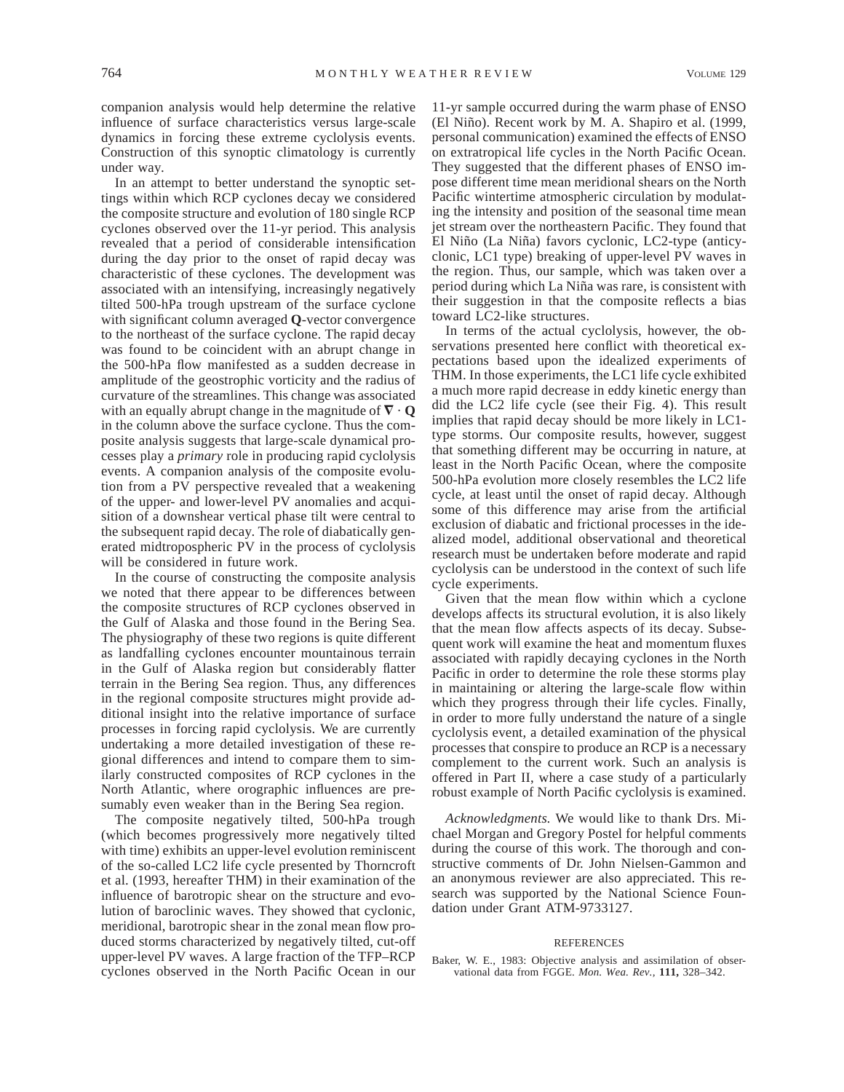companion analysis would help determine the relative influence of surface characteristics versus large-scale dynamics in forcing these extreme cyclolysis events. Construction of this synoptic climatology is currently under way.

In an attempt to better understand the synoptic settings within which RCP cyclones decay we considered the composite structure and evolution of 180 single RCP cyclones observed over the 11-yr period. This analysis revealed that a period of considerable intensification during the day prior to the onset of rapid decay was characteristic of these cyclones. The development was associated with an intensifying, increasingly negatively tilted 500-hPa trough upstream of the surface cyclone with significant column averaged **Q**-vector convergence to the northeast of the surface cyclone. The rapid decay was found to be coincident with an abrupt change in the 500-hPa flow manifested as a sudden decrease in amplitude of the geostrophic vorticity and the radius of curvature of the streamlines. This change was associated with an equally abrupt change in the magnitude of  $\nabla \cdot \mathbf{Q}$ in the column above the surface cyclone. Thus the composite analysis suggests that large-scale dynamical processes play a *primary* role in producing rapid cyclolysis events. A companion analysis of the composite evolution from a PV perspective revealed that a weakening of the upper- and lower-level PV anomalies and acquisition of a downshear vertical phase tilt were central to the subsequent rapid decay. The role of diabatically generated midtropospheric PV in the process of cyclolysis will be considered in future work.

In the course of constructing the composite analysis we noted that there appear to be differences between the composite structures of RCP cyclones observed in the Gulf of Alaska and those found in the Bering Sea. The physiography of these two regions is quite different as landfalling cyclones encounter mountainous terrain in the Gulf of Alaska region but considerably flatter terrain in the Bering Sea region. Thus, any differences in the regional composite structures might provide additional insight into the relative importance of surface processes in forcing rapid cyclolysis. We are currently undertaking a more detailed investigation of these regional differences and intend to compare them to similarly constructed composites of RCP cyclones in the North Atlantic, where orographic influences are presumably even weaker than in the Bering Sea region.

The composite negatively tilted, 500-hPa trough (which becomes progressively more negatively tilted with time) exhibits an upper-level evolution reminiscent of the so-called LC2 life cycle presented by Thorncroft et al. (1993, hereafter THM) in their examination of the influence of barotropic shear on the structure and evolution of baroclinic waves. They showed that cyclonic, meridional, barotropic shear in the zonal mean flow produced storms characterized by negatively tilted, cut-off upper-level PV waves. A large fraction of the TFP–RCP cyclones observed in the North Pacific Ocean in our

11-yr sample occurred during the warm phase of ENSO (El Niño). Recent work by M. A. Shapiro et al. (1999, personal communication) examined the effects of ENSO on extratropical life cycles in the North Pacific Ocean. They suggested that the different phases of ENSO impose different time mean meridional shears on the North Pacific wintertime atmospheric circulation by modulating the intensity and position of the seasonal time mean jet stream over the northeastern Pacific. They found that El Niño (La Niña) favors cyclonic, LC2-type (anticyclonic, LC1 type) breaking of upper-level PV waves in the region. Thus, our sample, which was taken over a period during which La Niña was rare, is consistent with their suggestion in that the composite reflects a bias toward LC2-like structures.

In terms of the actual cyclolysis, however, the observations presented here conflict with theoretical expectations based upon the idealized experiments of THM. In those experiments, the LC1 life cycle exhibited a much more rapid decrease in eddy kinetic energy than did the LC2 life cycle (see their Fig. 4). This result implies that rapid decay should be more likely in LC1 type storms. Our composite results, however, suggest that something different may be occurring in nature, at least in the North Pacific Ocean, where the composite 500-hPa evolution more closely resembles the LC2 life cycle, at least until the onset of rapid decay. Although some of this difference may arise from the artificial exclusion of diabatic and frictional processes in the idealized model, additional observational and theoretical research must be undertaken before moderate and rapid cyclolysis can be understood in the context of such life cycle experiments.

Given that the mean flow within which a cyclone develops affects its structural evolution, it is also likely that the mean flow affects aspects of its decay. Subsequent work will examine the heat and momentum fluxes associated with rapidly decaying cyclones in the North Pacific in order to determine the role these storms play in maintaining or altering the large-scale flow within which they progress through their life cycles. Finally, in order to more fully understand the nature of a single cyclolysis event, a detailed examination of the physical processes that conspire to produce an RCP is a necessary complement to the current work. Such an analysis is offered in Part II, where a case study of a particularly robust example of North Pacific cyclolysis is examined.

*Acknowledgments.* We would like to thank Drs. Michael Morgan and Gregory Postel for helpful comments during the course of this work. The thorough and constructive comments of Dr. John Nielsen-Gammon and an anonymous reviewer are also appreciated. This research was supported by the National Science Foundation under Grant ATM-9733127.

### **REFERENCES**

Baker, W. E., 1983: Objective analysis and assimilation of observational data from FGGE. *Mon. Wea. Rev.,* **111,** 328–342.